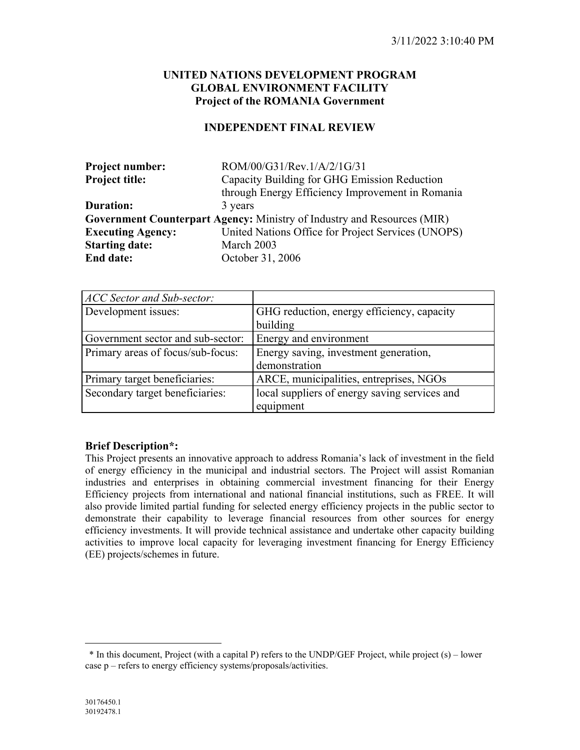# **UNITED NATIONS DEVELOPMENT PROGRAM GLOBAL ENVIRONMENT FACILITY Project of the ROMANIA Government**

#### **INDEPENDENT FINAL REVIEW**

| <b>Project number:</b>   | ROM/00/G31/Rev.1/A/2/1G/31                                              |  |  |  |  |
|--------------------------|-------------------------------------------------------------------------|--|--|--|--|
| <b>Project title:</b>    | Capacity Building for GHG Emission Reduction                            |  |  |  |  |
|                          | through Energy Efficiency Improvement in Romania                        |  |  |  |  |
| Duration:                | 3 years                                                                 |  |  |  |  |
|                          | Government Counterpart Agency: Ministry of Industry and Resources (MIR) |  |  |  |  |
| <b>Executing Agency:</b> | United Nations Office for Project Services (UNOPS)                      |  |  |  |  |
| <b>Starting date:</b>    | March 2003                                                              |  |  |  |  |
| <b>End date:</b>         | October 31, 2006                                                        |  |  |  |  |

| ACC Sector and Sub-sector:        |                                               |
|-----------------------------------|-----------------------------------------------|
| Development issues:               | GHG reduction, energy efficiency, capacity    |
|                                   | building                                      |
| Government sector and sub-sector: | Energy and environment                        |
| Primary areas of focus/sub-focus: | Energy saving, investment generation,         |
|                                   | demonstration                                 |
| Primary target beneficiaries:     | ARCE, municipalities, entreprises, NGOs       |
| Secondary target beneficiaries:   | local suppliers of energy saving services and |
|                                   | equipment                                     |

#### **Brief Description\*:**

This Project presents an innovative approach to address Romania's lack of investment in the field of energy efficiency in the municipal and industrial sectors. The Project will assist Romanian industries and enterprises in obtaining commercial investment financing for their Energy Efficiency projects from international and national financial institutions, such as FREE. It will also provide limited partial funding for selected energy efficiency projects in the public sector to demonstrate their capability to leverage financial resources from other sources for energy efficiency investments. It will provide technical assistance and undertake other capacity building activities to improve local capacity for leveraging investment financing for Energy Efficiency (EE) projects/schemes in future.

 $\overline{a}$ 

<span id="page-0-0"></span><sup>\*</sup> In this document, Project (with a capital P) refers to the UNDP/GEF Project, while project (s) – lower case p – refers to energy efficiency systems/proposals/activities.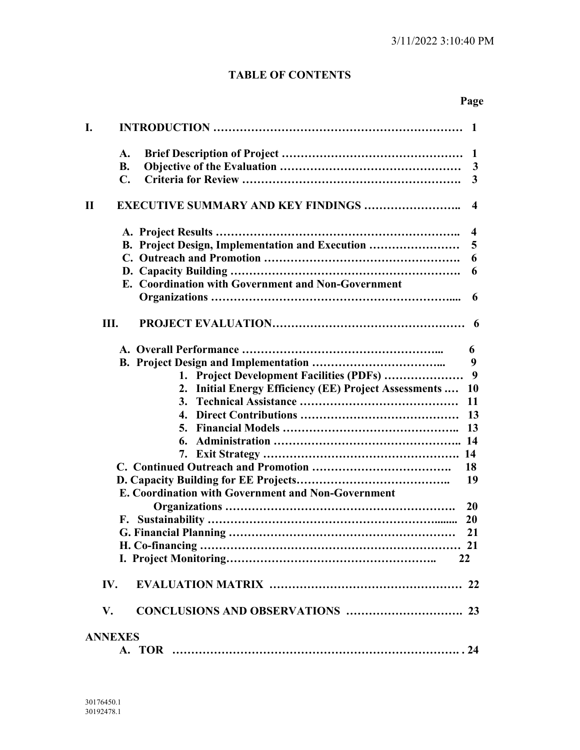# **TABLE OF CONTENTS**

# **Page**

| I.        |                                                       | -1                      |
|-----------|-------------------------------------------------------|-------------------------|
|           | A.                                                    | $\mathbf{1}$            |
|           | <b>B.</b>                                             | 3                       |
|           | $\mathbf{C}$ .                                        | 3                       |
|           |                                                       |                         |
| $\bf{II}$ | <b>EXECUTIVE SUMMARY AND KEY FINDINGS </b>            | 4                       |
|           |                                                       | $\overline{\mathbf{4}}$ |
|           | B. Project Design, Implementation and Execution       | 5                       |
|           |                                                       | 6                       |
|           |                                                       | 6                       |
|           | E. Coordination with Government and Non-Government    |                         |
|           |                                                       | 6                       |
|           | Ш.                                                    | 6                       |
|           |                                                       | 6                       |
|           |                                                       | 9                       |
|           | 1. Project Development Facilities (PDFs)              | 9                       |
|           | 2. Initial Energy Efficiency (EE) Project Assessments | <b>10</b>               |
|           | 3.                                                    | 11                      |
|           | 4.                                                    | 13                      |
|           | 5.                                                    | 13                      |
|           | 6.                                                    |                         |
|           |                                                       |                         |
|           |                                                       | 18                      |
|           |                                                       | 19                      |
|           | E. Coordination with Government and Non-Government    |                         |
|           |                                                       | <b>20</b>               |
|           |                                                       | 20                      |
|           |                                                       | 21                      |
|           |                                                       |                         |
|           | 22                                                    |                         |
|           | IV.                                                   |                         |
|           | V.                                                    |                         |
|           | <b>ANNEXES</b>                                        |                         |
|           |                                                       |                         |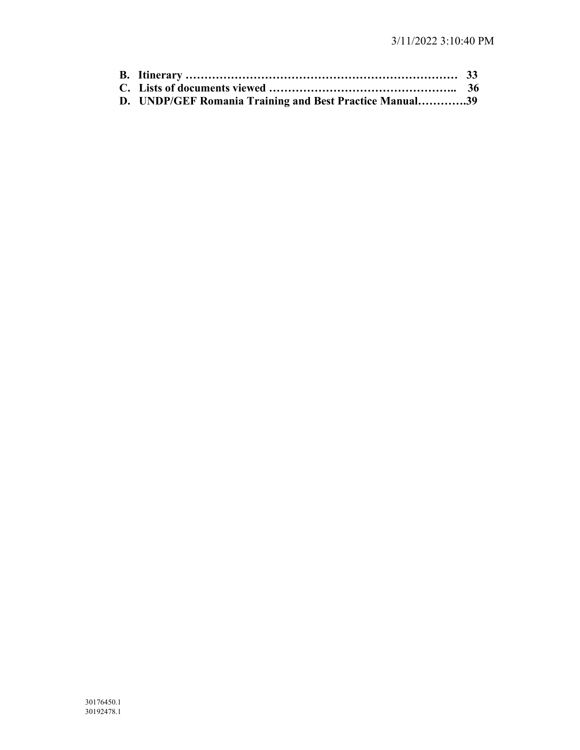| D. UNDP/GEF Romania Training and Best Practice Manual39 |  |
|---------------------------------------------------------|--|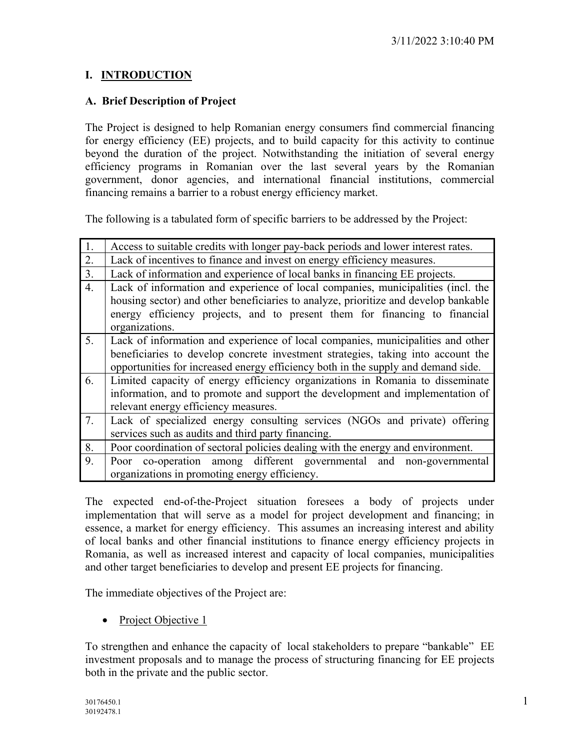# **I. INTRODUCTION**

# **A. Brief Description of Project**

The Project is designed to help Romanian energy consumers find commercial financing for energy efficiency (EE) projects, and to build capacity for this activity to continue beyond the duration of the project. Notwithstanding the initiation of several energy efficiency programs in Romanian over the last several years by the Romanian government, donor agencies, and international financial institutions, commercial financing remains a barrier to a robust energy efficiency market.

The following is a tabulated form of specific barriers to be addressed by the Project:

| 1.               | Access to suitable credits with longer pay-back periods and lower interest rates.   |  |  |  |  |  |
|------------------|-------------------------------------------------------------------------------------|--|--|--|--|--|
| 2.               | Lack of incentives to finance and invest on energy efficiency measures.             |  |  |  |  |  |
| 3.               | Lack of information and experience of local banks in financing EE projects.         |  |  |  |  |  |
| $\overline{4}$ . | Lack of information and experience of local companies, municipalities (incl. the    |  |  |  |  |  |
|                  | housing sector) and other beneficiaries to analyze, prioritize and develop bankable |  |  |  |  |  |
|                  | energy efficiency projects, and to present them for financing to financial          |  |  |  |  |  |
|                  | organizations.                                                                      |  |  |  |  |  |
| 5.               | Lack of information and experience of local companies, municipalities and other     |  |  |  |  |  |
|                  | beneficiaries to develop concrete investment strategies, taking into account the    |  |  |  |  |  |
|                  | opportunities for increased energy efficiency both in the supply and demand side.   |  |  |  |  |  |
| 6.               | Limited capacity of energy efficiency organizations in Romania to disseminate       |  |  |  |  |  |
|                  | information, and to promote and support the development and implementation of       |  |  |  |  |  |
|                  | relevant energy efficiency measures.                                                |  |  |  |  |  |
| 7.               | Lack of specialized energy consulting services (NGOs and private) offering          |  |  |  |  |  |
|                  | services such as audits and third party financing.                                  |  |  |  |  |  |
| 8.               | Poor coordination of sectoral policies dealing with the energy and environment.     |  |  |  |  |  |
| 9.               | Poor co-operation among different governmental and non-governmental                 |  |  |  |  |  |
|                  | organizations in promoting energy efficiency.                                       |  |  |  |  |  |

The expected end-of-the-Project situation foresees a body of projects under implementation that will serve as a model for project development and financing; in essence, a market for energy efficiency. This assumes an increasing interest and ability of local banks and other financial institutions to finance energy efficiency projects in Romania, as well as increased interest and capacity of local companies, municipalities and other target beneficiaries to develop and present EE projects for financing.

The immediate objectives of the Project are:

• Project Objective 1

To strengthen and enhance the capacity of local stakeholders to prepare "bankable" EE investment proposals and to manage the process of structuring financing for EE projects both in the private and the public sector.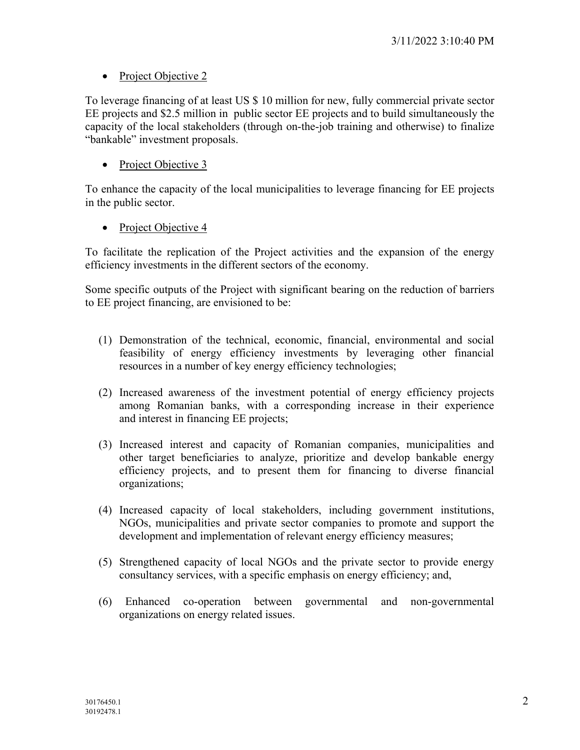# • Project Objective 2

To leverage financing of at least US \$ 10 million for new, fully commercial private sector EE projects and \$2.5 million in public sector EE projects and to build simultaneously the capacity of the local stakeholders (through on-the-job training and otherwise) to finalize "bankable" investment proposals.

• Project Objective 3

To enhance the capacity of the local municipalities to leverage financing for EE projects in the public sector.

• Project Objective 4

To facilitate the replication of the Project activities and the expansion of the energy efficiency investments in the different sectors of the economy.

Some specific outputs of the Project with significant bearing on the reduction of barriers to EE project financing, are envisioned to be:

- (1) Demonstration of the technical, economic, financial, environmental and social feasibility of energy efficiency investments by leveraging other financial resources in a number of key energy efficiency technologies;
- (2) Increased awareness of the investment potential of energy efficiency projects among Romanian banks, with a corresponding increase in their experience and interest in financing EE projects;
- (3) Increased interest and capacity of Romanian companies, municipalities and other target beneficiaries to analyze, prioritize and develop bankable energy efficiency projects, and to present them for financing to diverse financial organizations;
- (4) Increased capacity of local stakeholders, including government institutions, NGOs, municipalities and private sector companies to promote and support the development and implementation of relevant energy efficiency measures;
- (5) Strengthened capacity of local NGOs and the private sector to provide energy consultancy services, with a specific emphasis on energy efficiency; and,
- (6) Enhanced co-operation between governmental and non-governmental organizations on energy related issues.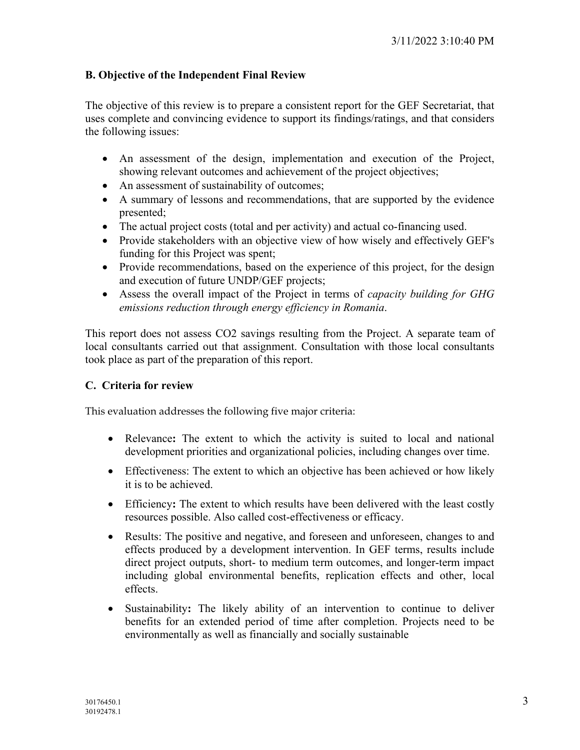# **B. Objective of the Independent Final Review**

The objective of this review is to prepare a consistent report for the GEF Secretariat, that uses complete and convincing evidence to support its findings/ratings, and that considers the following issues:

- An assessment of the design, implementation and execution of the Project, showing relevant outcomes and achievement of the project objectives;
- An assessment of sustainability of outcomes;
- A summary of lessons and recommendations, that are supported by the evidence presented;
- The actual project costs (total and per activity) and actual co-financing used.
- Provide stakeholders with an objective view of how wisely and effectively GEF's funding for this Project was spent;
- Provide recommendations, based on the experience of this project, for the design and execution of future UNDP/GEF projects;
- Assess the overall impact of the Project in terms of *capacity building for GHG emissions reduction through energy efficiency in Romania*.

This report does not assess CO2 savings resulting from the Project. A separate team of local consultants carried out that assignment. Consultation with those local consultants took place as part of the preparation of this report.

# **C. Criteria for review**

This evaluation addresses the following five major criteria:

- Relevance**:** The extent to which the activity is suited to local and national development priorities and organizational policies, including changes over time.
- Effectiveness: The extent to which an objective has been achieved or how likely it is to be achieved.
- Efficiency: The extent to which results have been delivered with the least costly resources possible. Also called cost-effectiveness or efficacy.
- Results: The positive and negative, and foreseen and unforeseen, changes to and effects produced by a development intervention. In GEF terms, results include direct project outputs, short- to medium term outcomes, and longer-term impact including global environmental benefits, replication effects and other, local effects.
- Sustainability**:** The likely ability of an intervention to continue to deliver benefits for an extended period of time after completion. Projects need to be environmentally as well as financially and socially sustainable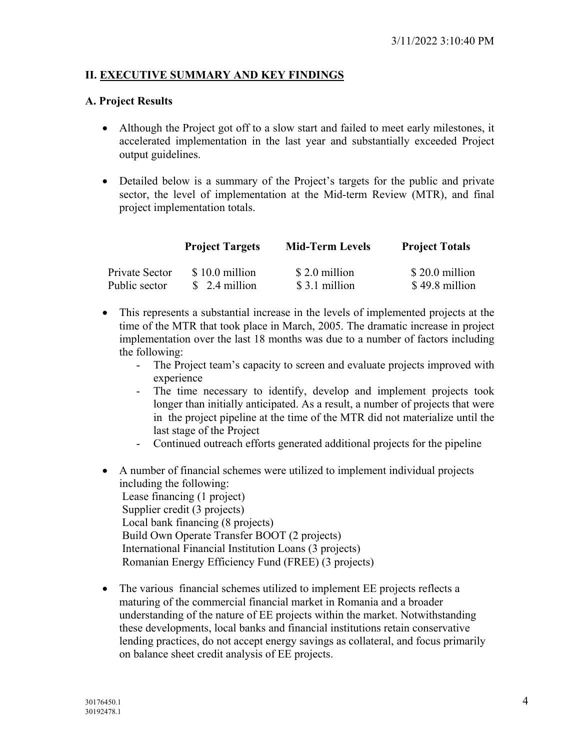# **II. EXECUTIVE SUMMARY AND KEY FINDINGS**

#### **A. Project Results**

- Although the Project got off to a slow start and failed to meet early milestones, it accelerated implementation in the last year and substantially exceeded Project output guidelines.
- Detailed below is a summary of the Project's targets for the public and private sector, the level of implementation at the Mid-term Review (MTR), and final project implementation totals.

|                | <b>Project Targets</b> | <b>Mid-Term Levels</b> | <b>Project Totals</b> |
|----------------|------------------------|------------------------|-----------------------|
| Private Sector | $$10.0$ million        | \$2.0 million          | $$20.0$ million       |
| Public sector  | $$2.4$ million         | \$3.1 million          | \$49.8 million        |

- This represents a substantial increase in the levels of implemented projects at the time of the MTR that took place in March, 2005. The dramatic increase in project implementation over the last 18 months was due to a number of factors including the following:
	- The Project team's capacity to screen and evaluate projects improved with experience
	- The time necessary to identify, develop and implement projects took longer than initially anticipated. As a result, a number of projects that were in the project pipeline at the time of the MTR did not materialize until the last stage of the Project
	- Continued outreach efforts generated additional projects for the pipeline
- A number of financial schemes were utilized to implement individual projects including the following: Lease financing (1 project) Supplier credit (3 projects) Local bank financing (8 projects) Build Own Operate Transfer BOOT (2 projects) International Financial Institution Loans (3 projects) Romanian Energy Efficiency Fund (FREE) (3 projects)
- The various financial schemes utilized to implement EE projects reflects a maturing of the commercial financial market in Romania and a broader understanding of the nature of EE projects within the market. Notwithstanding these developments, local banks and financial institutions retain conservative lending practices, do not accept energy savings as collateral, and focus primarily on balance sheet credit analysis of EE projects.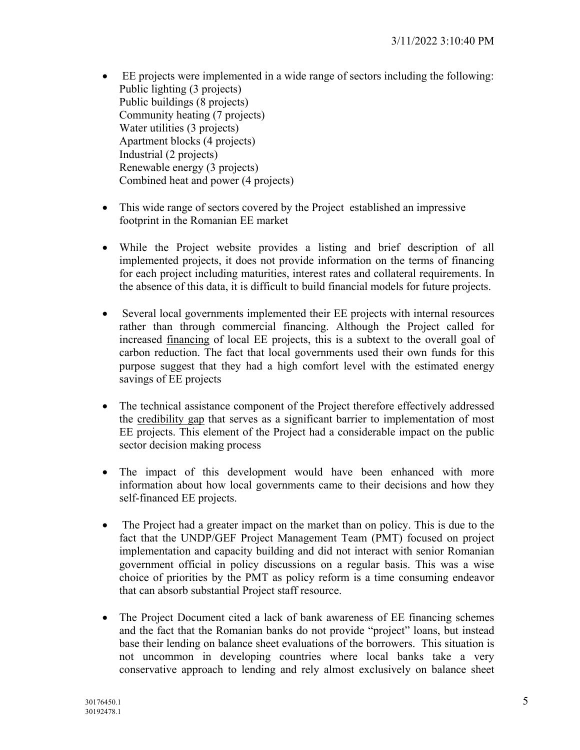- EE projects were implemented in a wide range of sectors including the following: Public lighting (3 projects) Public buildings (8 projects) Community heating (7 projects) Water utilities (3 projects) Apartment blocks (4 projects) Industrial (2 projects) Renewable energy (3 projects) Combined heat and power (4 projects)
- This wide range of sectors covered by the Project established an impressive footprint in the Romanian EE market
- While the Project website provides a listing and brief description of all implemented projects, it does not provide information on the terms of financing for each project including maturities, interest rates and collateral requirements. In the absence of this data, it is difficult to build financial models for future projects.
- Several local governments implemented their EE projects with internal resources rather than through commercial financing. Although the Project called for increased financing of local EE projects, this is a subtext to the overall goal of carbon reduction. The fact that local governments used their own funds for this purpose suggest that they had a high comfort level with the estimated energy savings of EE projects
- The technical assistance component of the Project therefore effectively addressed the credibility gap that serves as a significant barrier to implementation of most EE projects. This element of the Project had a considerable impact on the public sector decision making process
- The impact of this development would have been enhanced with more information about how local governments came to their decisions and how they self-financed EE projects.
- The Project had a greater impact on the market than on policy. This is due to the fact that the UNDP/GEF Project Management Team (PMT) focused on project implementation and capacity building and did not interact with senior Romanian government official in policy discussions on a regular basis. This was a wise choice of priorities by the PMT as policy reform is a time consuming endeavor that can absorb substantial Project staff resource.
- The Project Document cited a lack of bank awareness of EE financing schemes and the fact that the Romanian banks do not provide "project" loans, but instead base their lending on balance sheet evaluations of the borrowers. This situation is not uncommon in developing countries where local banks take a very conservative approach to lending and rely almost exclusively on balance sheet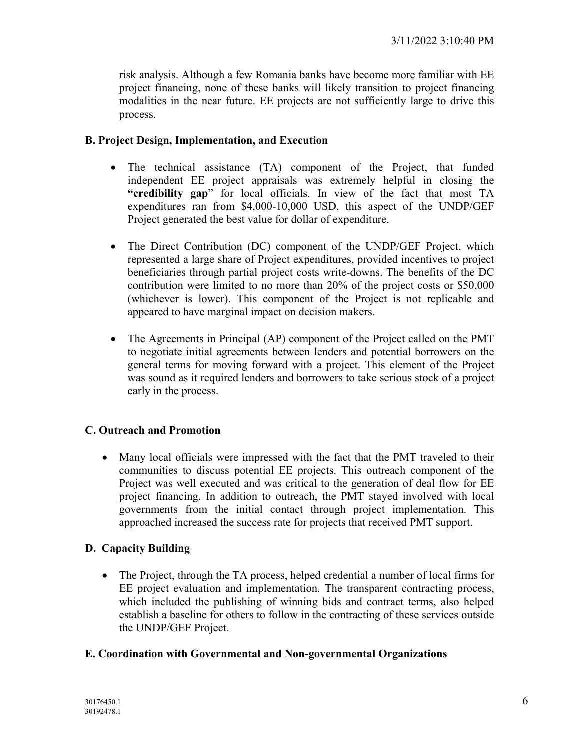risk analysis. Although a few Romania banks have become more familiar with EE project financing, none of these banks will likely transition to project financing modalities in the near future. EE projects are not sufficiently large to drive this process.

# **B. Project Design, Implementation, and Execution**

- The technical assistance (TA) component of the Project, that funded independent EE project appraisals was extremely helpful in closing the **"credibility gap**" for local officials. In view of the fact that most TA expenditures ran from \$4,000-10,000 USD, this aspect of the UNDP/GEF Project generated the best value for dollar of expenditure.
- The Direct Contribution (DC) component of the UNDP/GEF Project, which represented a large share of Project expenditures, provided incentives to project beneficiaries through partial project costs write-downs. The benefits of the DC contribution were limited to no more than 20% of the project costs or \$50,000 (whichever is lower). This component of the Project is not replicable and appeared to have marginal impact on decision makers.
- The Agreements in Principal (AP) component of the Project called on the PMT to negotiate initial agreements between lenders and potential borrowers on the general terms for moving forward with a project. This element of the Project was sound as it required lenders and borrowers to take serious stock of a project early in the process.

# **C. Outreach and Promotion**

• Many local officials were impressed with the fact that the PMT traveled to their communities to discuss potential EE projects. This outreach component of the Project was well executed and was critical to the generation of deal flow for EE project financing. In addition to outreach, the PMT stayed involved with local governments from the initial contact through project implementation. This approached increased the success rate for projects that received PMT support.

# **D. Capacity Building**

• The Project, through the TA process, helped credential a number of local firms for EE project evaluation and implementation. The transparent contracting process, which included the publishing of winning bids and contract terms, also helped establish a baseline for others to follow in the contracting of these services outside the UNDP/GEF Project.

# **E. Coordination with Governmental and Non-governmental Organizations**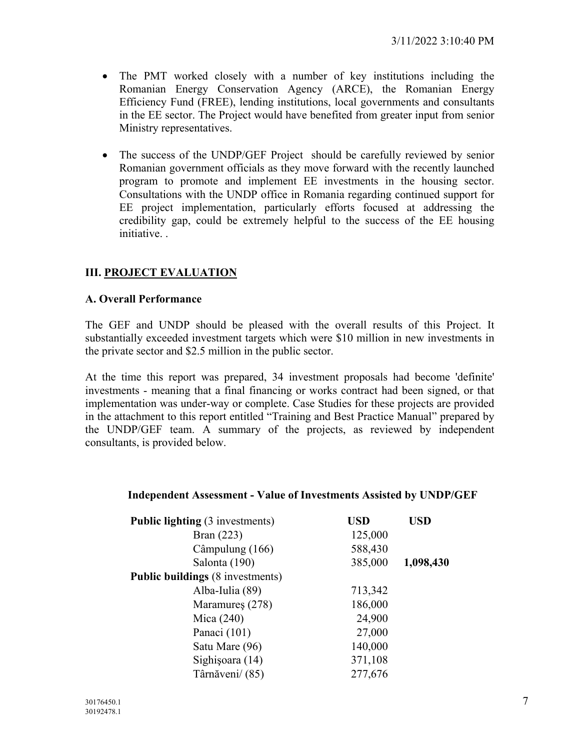- The PMT worked closely with a number of key institutions including the Romanian Energy Conservation Agency (ARCE), the Romanian Energy Efficiency Fund (FREE), lending institutions, local governments and consultants in the EE sector. The Project would have benefited from greater input from senior Ministry representatives.
- The success of the UNDP/GEF Project should be carefully reviewed by senior Romanian government officials as they move forward with the recently launched program to promote and implement EE investments in the housing sector. Consultations with the UNDP office in Romania regarding continued support for EE project implementation, particularly efforts focused at addressing the credibility gap, could be extremely helpful to the success of the EE housing initiative. .

# **III. PROJECT EVALUATION**

# **A. Overall Performance**

The GEF and UNDP should be pleased with the overall results of this Project. It substantially exceeded investment targets which were \$10 million in new investments in the private sector and \$2.5 million in the public sector.

At the time this report was prepared, 34 investment proposals had become 'definite' investments - meaning that a final financing or works contract had been signed, or that implementation was under-way or complete. Case Studies for these projects are provided in the attachment to this report entitled "Training and Best Practice Manual" prepared by the UNDP/GEF team. A summary of the projects, as reviewed by independent consultants, is provided below.

#### **Independent Assessment - Value of Investments Assisted by UNDP/GEF**

| <b>Public lighting (3 investments)</b>  | <b>USD</b> | <b>USD</b> |
|-----------------------------------------|------------|------------|
| Bran $(223)$                            | 125,000    |            |
| Câmpulung (166)                         | 588,430    |            |
| Salonta (190)                           | 385,000    | 1,098,430  |
| <b>Public buildings</b> (8 investments) |            |            |
| Alba-Iulia (89)                         | 713,342    |            |
| Maramures (278)                         | 186,000    |            |
| Mica $(240)$                            | 24,900     |            |
| Panaci (101)                            | 27,000     |            |
| Satu Mare (96)                          | 140,000    |            |
| Sighișoara (14)                         | 371,108    |            |
| Târnăveni/ (85)                         | 277,676    |            |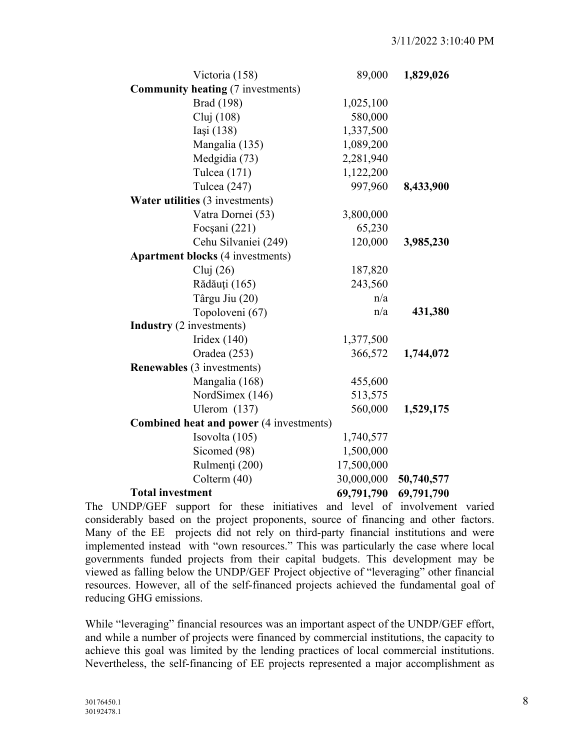| Victoria (158)                                 | 89,000     | 1,829,026  |
|------------------------------------------------|------------|------------|
| <b>Community heating (7 investments)</b>       |            |            |
| <b>Brad</b> (198)                              | 1,025,100  |            |
| Cluj (108)                                     | 580,000    |            |
| Iași (138)                                     | 1,337,500  |            |
| Mangalia (135)                                 | 1,089,200  |            |
| Medgidia (73)                                  | 2,281,940  |            |
| Tulcea (171)                                   | 1,122,200  |            |
| Tulcea (247)                                   | 997,960    | 8,433,900  |
| Water utilities (3 investments)                |            |            |
| Vatra Dornei (53)                              | 3,800,000  |            |
| Focșani (221)                                  | 65,230     |            |
| Cehu Silvaniei (249)                           | 120,000    | 3,985,230  |
| <b>Apartment blocks (4 investments)</b>        |            |            |
| Cluj $(26)$                                    | 187,820    |            |
| Rădăuți (165)                                  | 243,560    |            |
| Târgu Jiu (20)                                 | n/a        |            |
| Topoloveni (67)                                | n/a        | 431,380    |
| <b>Industry</b> (2 investments)                |            |            |
| Iridex $(140)$                                 | 1,377,500  |            |
| Oradea (253)                                   | 366,572    | 1,744,072  |
| <b>Renewables</b> (3 investments)              |            |            |
| Mangalia (168)                                 | 455,600    |            |
| NordSimex (146)                                | 513,575    |            |
| Ulerom $(137)$                                 | 560,000    | 1,529,175  |
| <b>Combined heat and power (4 investments)</b> |            |            |
| Isovolta (105)                                 | 1,740,577  |            |
| Sicomed (98)                                   | 1,500,000  |            |
| Rulmenți (200)                                 | 17,500,000 |            |
| Colterm (40)                                   | 30,000,000 | 50,740,577 |
| <b>Total investment</b>                        | 69,791,790 | 69,791,790 |

The UNDP/GEF support for these initiatives and level of involvement varied considerably based on the project proponents, source of financing and other factors. Many of the EE projects did not rely on third-party financial institutions and were implemented instead with "own resources." This was particularly the case where local governments funded projects from their capital budgets. This development may be viewed as falling below the UNDP/GEF Project objective of "leveraging" other financial resources. However, all of the self-financed projects achieved the fundamental goal of reducing GHG emissions.

While "leveraging" financial resources was an important aspect of the UNDP/GEF effort, and while a number of projects were financed by commercial institutions, the capacity to achieve this goal was limited by the lending practices of local commercial institutions. Nevertheless, the self-financing of EE projects represented a major accomplishment as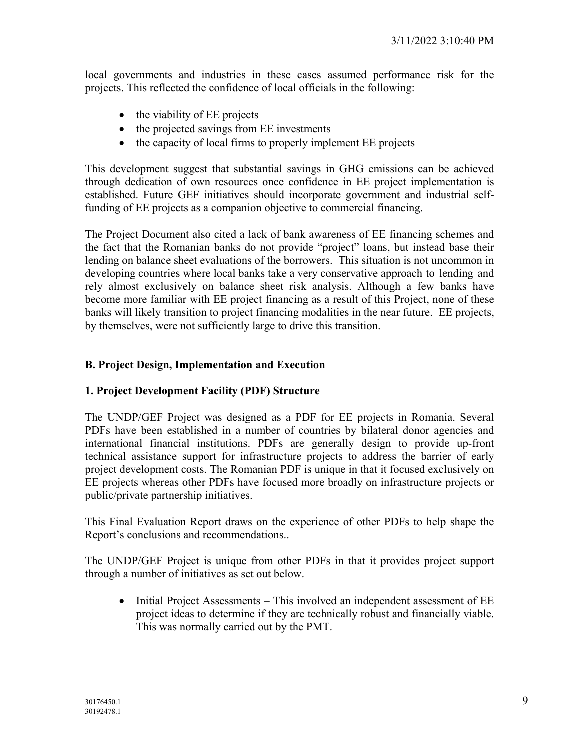local governments and industries in these cases assumed performance risk for the projects. This reflected the confidence of local officials in the following:

- the viability of EE projects
- the projected savings from EE investments
- the capacity of local firms to properly implement EE projects

This development suggest that substantial savings in GHG emissions can be achieved through dedication of own resources once confidence in EE project implementation is established. Future GEF initiatives should incorporate government and industrial selffunding of EE projects as a companion objective to commercial financing.

The Project Document also cited a lack of bank awareness of EE financing schemes and the fact that the Romanian banks do not provide "project" loans, but instead base their lending on balance sheet evaluations of the borrowers. This situation is not uncommon in developing countries where local banks take a very conservative approach to lending and rely almost exclusively on balance sheet risk analysis. Although a few banks have become more familiar with EE project financing as a result of this Project, none of these banks will likely transition to project financing modalities in the near future. EE projects, by themselves, were not sufficiently large to drive this transition.

# **B. Project Design, Implementation and Execution**

# **1. Project Development Facility (PDF) Structure**

The UNDP/GEF Project was designed as a PDF for EE projects in Romania. Several PDFs have been established in a number of countries by bilateral donor agencies and international financial institutions. PDFs are generally design to provide up-front technical assistance support for infrastructure projects to address the barrier of early project development costs. The Romanian PDF is unique in that it focused exclusively on EE projects whereas other PDFs have focused more broadly on infrastructure projects or public/private partnership initiatives.

This Final Evaluation Report draws on the experience of other PDFs to help shape the Report's conclusions and recommendations..

The UNDP/GEF Project is unique from other PDFs in that it provides project support through a number of initiatives as set out below.

• Initial Project Assessments – This involved an independent assessment of EE project ideas to determine if they are technically robust and financially viable. This was normally carried out by the PMT.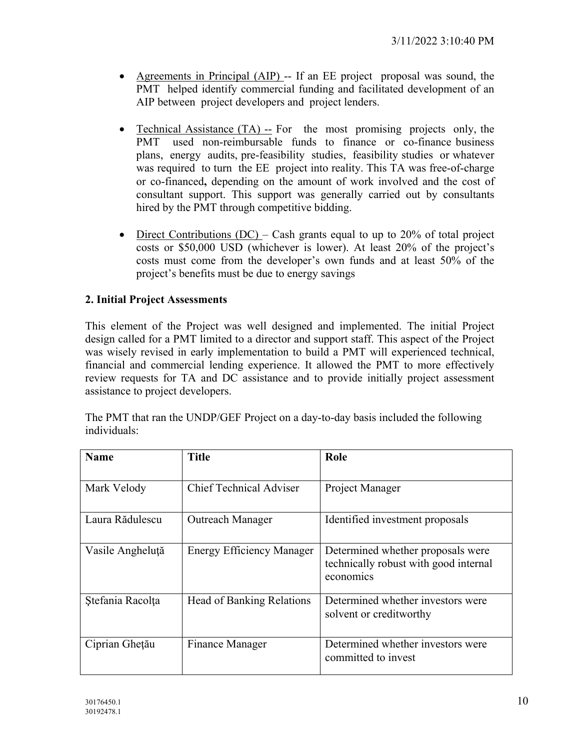- Agreements in Principal (AIP) -- If an EE project proposal was sound, the PMT helped identify commercial funding and facilitated development of an AIP between project developers and project lenders.
- Technical Assistance (TA) -- For the most promising projects only, the PMT used non-reimbursable funds to finance or co-finance business plans, energy audits, pre-feasibility studies, feasibility studies or whatever was required to turn the EE project into reality. This TA was free-of-charge or co-financed**,** depending on the amount of work involved and the cost of consultant support. This support was generally carried out by consultants hired by the PMT through competitive bidding.
- Direct Contributions (DC) Cash grants equal to up to 20% of total project costs or \$50,000 USD (whichever is lower). At least 20% of the project's costs must come from the developer's own funds and at least 50% of the project's benefits must be due to energy savings

# **2. Initial Project Assessments**

This element of the Project was well designed and implemented. The initial Project design called for a PMT limited to a director and support staff. This aspect of the Project was wisely revised in early implementation to build a PMT will experienced technical, financial and commercial lending experience. It allowed the PMT to more effectively review requests for TA and DC assistance and to provide initially project assessment assistance to project developers.

The PMT that ran the UNDP/GEF Project on a day-to-day basis included the following individuals:

| <b>Name</b>      | Title                            | Role                                                                                    |
|------------------|----------------------------------|-----------------------------------------------------------------------------------------|
| Mark Velody      | <b>Chief Technical Adviser</b>   | Project Manager                                                                         |
| Laura Rădulescu  | <b>Outreach Manager</b>          | Identified investment proposals                                                         |
| Vasile Angheluță | Energy Efficiency Manager        | Determined whether proposals were<br>technically robust with good internal<br>economics |
| Stefania Racolța | <b>Head of Banking Relations</b> | Determined whether investors were<br>solvent or creditworthy                            |
| Ciprian Ghețău   | Finance Manager                  | Determined whether investors were<br>committed to invest                                |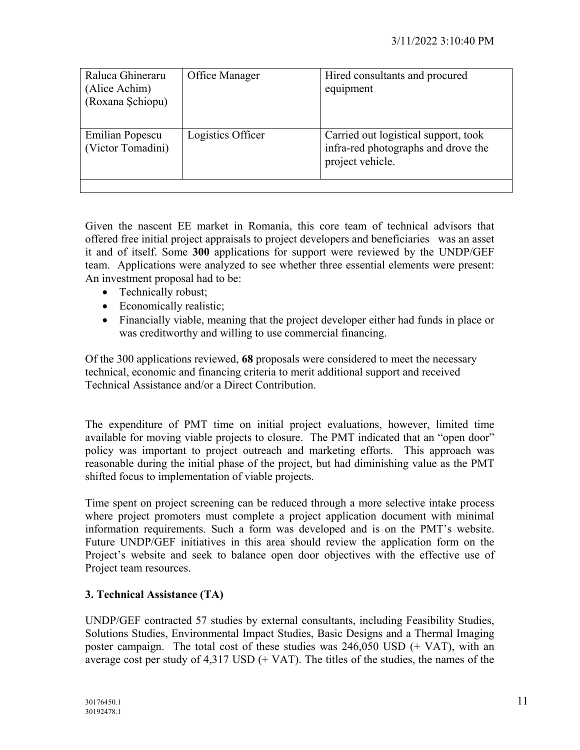| Raluca Ghineraru                     | Office Manager    | Hired consultants and procured                                                                  |
|--------------------------------------|-------------------|-------------------------------------------------------------------------------------------------|
| (Alice Achim)                        |                   | equipment                                                                                       |
| (Roxana Schiopu)                     |                   |                                                                                                 |
|                                      |                   |                                                                                                 |
| Emilian Popescu<br>(Victor Tomadini) | Logistics Officer | Carried out logistical support, took<br>infra-red photographs and drove the<br>project vehicle. |
|                                      |                   |                                                                                                 |

Given the nascent EE market in Romania, this core team of technical advisors that offered free initial project appraisals to project developers and beneficiaries was an asset it and of itself. Some **300** applications for support were reviewed by the UNDP/GEF team. Applications were analyzed to see whether three essential elements were present: An investment proposal had to be:

- Technically robust;
- Economically realistic;
- Financially viable, meaning that the project developer either had funds in place or was creditworthy and willing to use commercial financing.

Of the 300 applications reviewed, **68** proposals were considered to meet the necessary technical, economic and financing criteria to merit additional support and received Technical Assistance and/or a Direct Contribution.

The expenditure of PMT time on initial project evaluations, however, limited time available for moving viable projects to closure. The PMT indicated that an "open door" policy was important to project outreach and marketing efforts. This approach was reasonable during the initial phase of the project, but had diminishing value as the PMT shifted focus to implementation of viable projects.

Time spent on project screening can be reduced through a more selective intake process where project promoters must complete a project application document with minimal information requirements. Such a form was developed and is on the PMT's website. Future UNDP/GEF initiatives in this area should review the application form on the Project's website and seek to balance open door objectives with the effective use of Project team resources.

# **3. Technical Assistance (TA)**

UNDP/GEF contracted 57 studies by external consultants, including Feasibility Studies, Solutions Studies, Environmental Impact Studies, Basic Designs and a Thermal Imaging poster campaign. The total cost of these studies was  $246,050$  USD (+ VAT), with an average cost per study of  $4,317$  USD (+ VAT). The titles of the studies, the names of the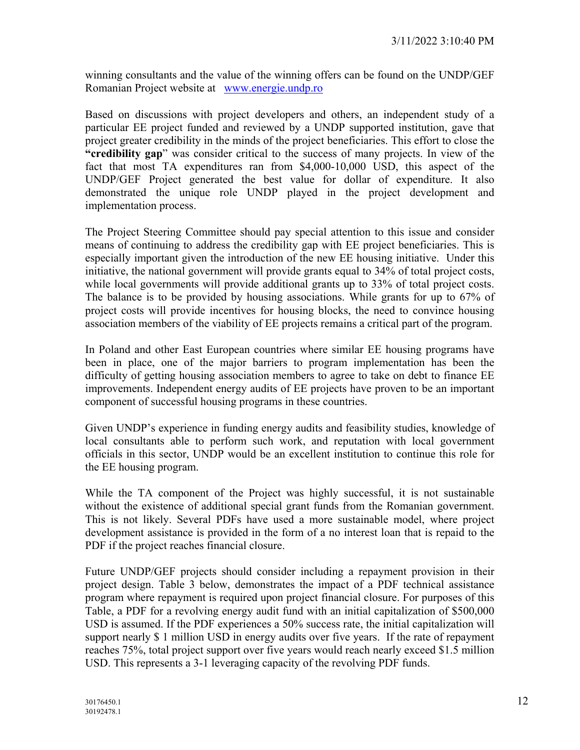winning consultants and the value of the winning offers can be found on the UNDP/GEF Romanian Project website at [www.energie.undp.ro](http://www.energie.undp.ro/)

Based on discussions with project developers and others, an independent study of a particular EE project funded and reviewed by a UNDP supported institution, gave that project greater credibility in the minds of the project beneficiaries. This effort to close the **"credibility gap**" was consider critical to the success of many projects. In view of the fact that most TA expenditures ran from \$4,000-10,000 USD, this aspect of the UNDP/GEF Project generated the best value for dollar of expenditure. It also demonstrated the unique role UNDP played in the project development and implementation process.

The Project Steering Committee should pay special attention to this issue and consider means of continuing to address the credibility gap with EE project beneficiaries. This is especially important given the introduction of the new EE housing initiative. Under this initiative, the national government will provide grants equal to 34% of total project costs, while local governments will provide additional grants up to 33% of total project costs. The balance is to be provided by housing associations. While grants for up to 67% of project costs will provide incentives for housing blocks, the need to convince housing association members of the viability of EE projects remains a critical part of the program.

In Poland and other East European countries where similar EE housing programs have been in place, one of the major barriers to program implementation has been the difficulty of getting housing association members to agree to take on debt to finance EE improvements. Independent energy audits of EE projects have proven to be an important component of successful housing programs in these countries.

Given UNDP's experience in funding energy audits and feasibility studies, knowledge of local consultants able to perform such work, and reputation with local government officials in this sector, UNDP would be an excellent institution to continue this role for the EE housing program.

While the TA component of the Project was highly successful, it is not sustainable without the existence of additional special grant funds from the Romanian government. This is not likely. Several PDFs have used a more sustainable model, where project development assistance is provided in the form of a no interest loan that is repaid to the PDF if the project reaches financial closure.

Future UNDP/GEF projects should consider including a repayment provision in their project design. Table 3 below, demonstrates the impact of a PDF technical assistance program where repayment is required upon project financial closure. For purposes of this Table, a PDF for a revolving energy audit fund with an initial capitalization of \$500,000 USD is assumed. If the PDF experiences a 50% success rate, the initial capitalization will support nearly \$ 1 million USD in energy audits over five years. If the rate of repayment reaches 75%, total project support over five years would reach nearly exceed \$1.5 million USD. This represents a 3-1 leveraging capacity of the revolving PDF funds.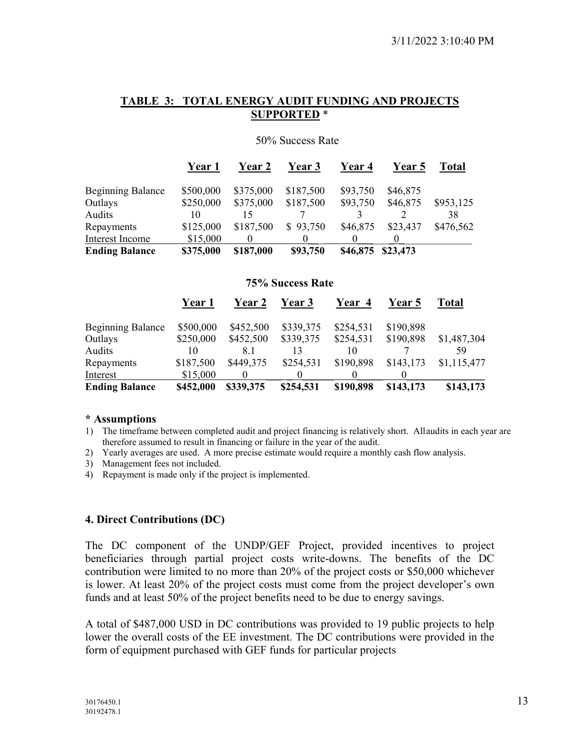#### **TABLE 3: TOTAL ENERGY AUDIT FUNDING AND PROJECTS SUPPORTED** \*

|                          | Year 1    | <b>Year 2</b> | Year 3    | <b>Year 4</b> | <b>Year 5</b> | Total     |
|--------------------------|-----------|---------------|-----------|---------------|---------------|-----------|
| <b>Beginning Balance</b> | \$500,000 | \$375,000     | \$187,500 | \$93,750      | \$46,875      |           |
| Outlays                  | \$250,000 | \$375,000     | \$187,500 | \$93,750      | \$46,875      | \$953,125 |
| Audits                   | 10        |               |           |               |               | 38        |
| Repayments               | \$125,000 | \$187,500     | \$93,750  | \$46,875      | \$23,437      | \$476,562 |
| Interest Income          | \$15,000  |               |           |               |               |           |
| <b>Ending Balance</b>    | \$375,000 | \$187,000     | \$93,750  | \$46,875      | \$23,473      |           |

50% Success Rate

#### **75% Success Rate**

|                          | <b>Year 1</b> | Year 2    | <b>Year 3</b> | Year 4    | <b>Year 5</b> | Total       |
|--------------------------|---------------|-----------|---------------|-----------|---------------|-------------|
| <b>Beginning Balance</b> | \$500,000     | \$452,500 | \$339,375     | \$254,531 | \$190,898     |             |
| Outlays                  | \$250,000     | \$452,500 | \$339,375     | \$254,531 | \$190,898     | \$1,487,304 |
| Audits                   | 10            | 8.1       | 13            | 10        |               | 59          |
| Repayments               | \$187,500     | \$449,375 | \$254,531     | \$190,898 | \$143,173     | \$1,115,477 |
| Interest                 | \$15,000      |           |               |           |               |             |
| <b>Ending Balance</b>    | \$452,000     | \$339,375 | \$254,531     | \$190,898 | \$143,173     | \$143,173   |

#### **\* Assumptions**

- 1) The timeframe between completed audit and project financing is relatively short. Allaudits in each year are therefore assumed to result in financing or failure in the year of the audit.
- 2) Yearly averages are used. A more precise estimate would require a monthly cash flow analysis.
- 3) Management fees not included.
- 4) Repayment is made only if the project is implemented.

# **4. Direct Contributions (DC)**

The DC component of the UNDP/GEF Project, provided incentives to project beneficiaries through partial project costs write-downs. The benefits of the DC contribution were limited to no more than 20% of the project costs or \$50,000 whichever is lower. At least 20% of the project costs must come from the project developer's own funds and at least 50% of the project benefits need to be due to energy savings.

A total of \$487,000 USD in DC contributions was provided to 19 public projects to help lower the overall costs of the EE investment. The DC contributions were provided in the form of equipment purchased with GEF funds for particular projects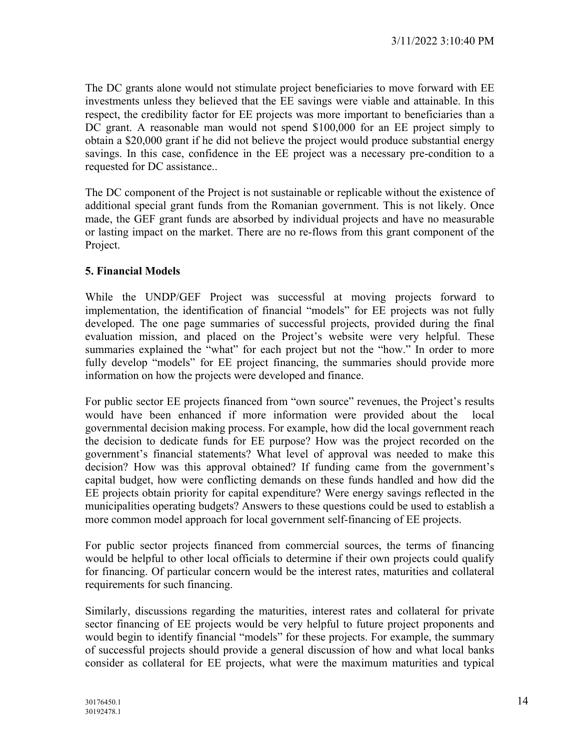The DC grants alone would not stimulate project beneficiaries to move forward with EE investments unless they believed that the EE savings were viable and attainable. In this respect, the credibility factor for EE projects was more important to beneficiaries than a DC grant. A reasonable man would not spend \$100,000 for an EE project simply to obtain a \$20,000 grant if he did not believe the project would produce substantial energy savings. In this case, confidence in the EE project was a necessary pre-condition to a requested for DC assistance..

The DC component of the Project is not sustainable or replicable without the existence of additional special grant funds from the Romanian government. This is not likely. Once made, the GEF grant funds are absorbed by individual projects and have no measurable or lasting impact on the market. There are no re-flows from this grant component of the Project.

#### **5. Financial Models**

While the UNDP/GEF Project was successful at moving projects forward to implementation, the identification of financial "models" for EE projects was not fully developed. The one page summaries of successful projects, provided during the final evaluation mission, and placed on the Project's website were very helpful. These summaries explained the "what" for each project but not the "how." In order to more fully develop "models" for EE project financing, the summaries should provide more information on how the projects were developed and finance.

For public sector EE projects financed from "own source" revenues, the Project's results would have been enhanced if more information were provided about the local governmental decision making process. For example, how did the local government reach the decision to dedicate funds for EE purpose? How was the project recorded on the government's financial statements? What level of approval was needed to make this decision? How was this approval obtained? If funding came from the government's capital budget, how were conflicting demands on these funds handled and how did the EE projects obtain priority for capital expenditure? Were energy savings reflected in the municipalities operating budgets? Answers to these questions could be used to establish a more common model approach for local government self-financing of EE projects.

For public sector projects financed from commercial sources, the terms of financing would be helpful to other local officials to determine if their own projects could qualify for financing. Of particular concern would be the interest rates, maturities and collateral requirements for such financing.

Similarly, discussions regarding the maturities, interest rates and collateral for private sector financing of EE projects would be very helpful to future project proponents and would begin to identify financial "models" for these projects. For example, the summary of successful projects should provide a general discussion of how and what local banks consider as collateral for EE projects, what were the maximum maturities and typical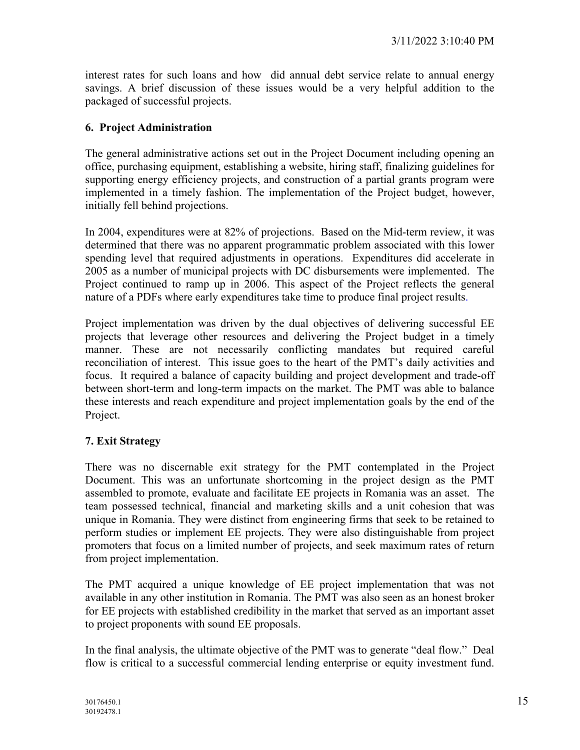interest rates for such loans and how did annual debt service relate to annual energy savings. A brief discussion of these issues would be a very helpful addition to the packaged of successful projects.

# **6. Project Administration**

The general administrative actions set out in the Project Document including opening an office, purchasing equipment, establishing a website, hiring staff, finalizing guidelines for supporting energy efficiency projects, and construction of a partial grants program were implemented in a timely fashion. The implementation of the Project budget, however, initially fell behind projections.

In 2004, expenditures were at 82% of projections. Based on the Mid-term review, it was determined that there was no apparent programmatic problem associated with this lower spending level that required adjustments in operations. Expenditures did accelerate in 2005 as a number of municipal projects with DC disbursements were implemented. The Project continued to ramp up in 2006. This aspect of the Project reflects the general nature of a PDFs where early expenditures take time to produce final project results.

Project implementation was driven by the dual objectives of delivering successful EE projects that leverage other resources and delivering the Project budget in a timely manner. These are not necessarily conflicting mandates but required careful reconciliation of interest. This issue goes to the heart of the PMT's daily activities and focus. It required a balance of capacity building and project development and trade-off between short-term and long-term impacts on the market. The PMT was able to balance these interests and reach expenditure and project implementation goals by the end of the Project.

# **7. Exit Strategy**

There was no discernable exit strategy for the PMT contemplated in the Project Document. This was an unfortunate shortcoming in the project design as the PMT assembled to promote, evaluate and facilitate EE projects in Romania was an asset. The team possessed technical, financial and marketing skills and a unit cohesion that was unique in Romania. They were distinct from engineering firms that seek to be retained to perform studies or implement EE projects. They were also distinguishable from project promoters that focus on a limited number of projects, and seek maximum rates of return from project implementation.

The PMT acquired a unique knowledge of EE project implementation that was not available in any other institution in Romania. The PMT was also seen as an honest broker for EE projects with established credibility in the market that served as an important asset to project proponents with sound EE proposals.

In the final analysis, the ultimate objective of the PMT was to generate "deal flow." Deal flow is critical to a successful commercial lending enterprise or equity investment fund.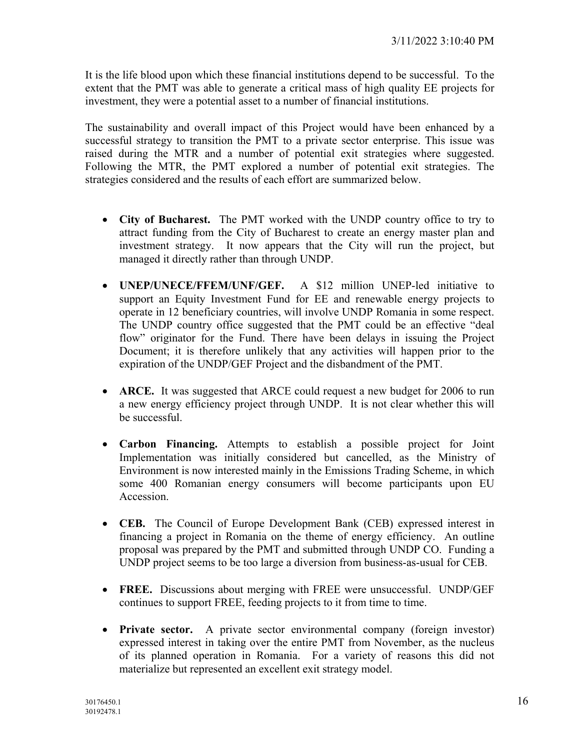It is the life blood upon which these financial institutions depend to be successful. To the extent that the PMT was able to generate a critical mass of high quality EE projects for investment, they were a potential asset to a number of financial institutions.

The sustainability and overall impact of this Project would have been enhanced by a successful strategy to transition the PMT to a private sector enterprise. This issue was raised during the MTR and a number of potential exit strategies where suggested. Following the MTR, the PMT explored a number of potential exit strategies. The strategies considered and the results of each effort are summarized below.

- **City of Bucharest.** The PMT worked with the UNDP country office to try to attract funding from the City of Bucharest to create an energy master plan and investment strategy. It now appears that the City will run the project, but managed it directly rather than through UNDP.
- **UNEP/UNECE/FFEM/UNF/GEF.** A \$12 million UNEP-led initiative to support an Equity Investment Fund for EE and renewable energy projects to operate in 12 beneficiary countries, will involve UNDP Romania in some respect. The UNDP country office suggested that the PMT could be an effective "deal flow" originator for the Fund. There have been delays in issuing the Project Document; it is therefore unlikely that any activities will happen prior to the expiration of the UNDP/GEF Project and the disbandment of the PMT.
- **ARCE.** It was suggested that ARCE could request a new budget for 2006 to run a new energy efficiency project through UNDP. It is not clear whether this will be successful.
- **Carbon Financing.** Attempts to establish a possible project for Joint Implementation was initially considered but cancelled, as the Ministry of Environment is now interested mainly in the Emissions Trading Scheme, in which some 400 Romanian energy consumers will become participants upon EU Accession.
- **CEB.** The Council of Europe Development Bank (CEB) expressed interest in financing a project in Romania on the theme of energy efficiency. An outline proposal was prepared by the PMT and submitted through UNDP CO. Funding a UNDP project seems to be too large a diversion from business-as-usual for CEB.
- **FREE.** Discussions about merging with FREE were unsuccessful. UNDP/GEF continues to support FREE, feeding projects to it from time to time.
- **Private sector.** A private sector environmental company (foreign investor) expressed interest in taking over the entire PMT from November, as the nucleus of its planned operation in Romania. For a variety of reasons this did not materialize but represented an excellent exit strategy model.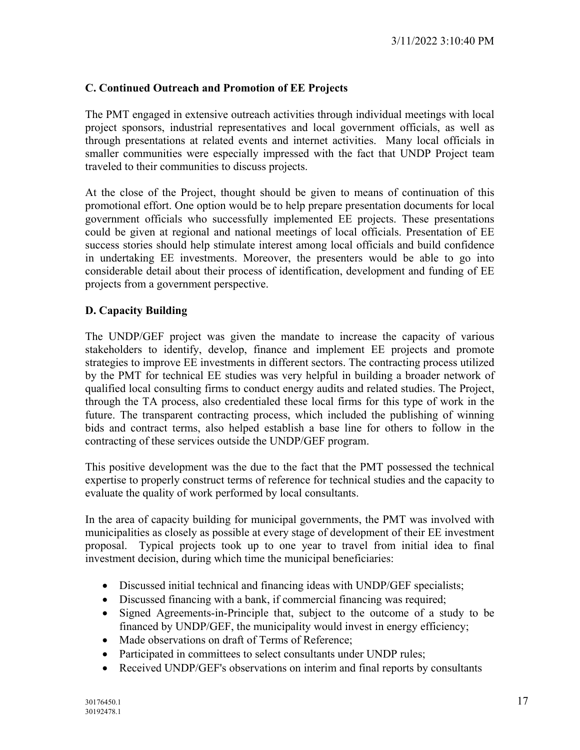# **C. Continued Outreach and Promotion of EE Projects**

The PMT engaged in extensive outreach activities through individual meetings with local project sponsors, industrial representatives and local government officials, as well as through presentations at related events and internet activities. Many local officials in smaller communities were especially impressed with the fact that UNDP Project team traveled to their communities to discuss projects.

At the close of the Project, thought should be given to means of continuation of this promotional effort. One option would be to help prepare presentation documents for local government officials who successfully implemented EE projects. These presentations could be given at regional and national meetings of local officials. Presentation of EE success stories should help stimulate interest among local officials and build confidence in undertaking EE investments. Moreover, the presenters would be able to go into considerable detail about their process of identification, development and funding of EE projects from a government perspective.

# **D. Capacity Building**

The UNDP/GEF project was given the mandate to increase the capacity of various stakeholders to identify, develop, finance and implement EE projects and promote strategies to improve EE investments in different sectors. The contracting process utilized by the PMT for technical EE studies was very helpful in building a broader network of qualified local consulting firms to conduct energy audits and related studies. The Project, through the TA process, also credentialed these local firms for this type of work in the future. The transparent contracting process, which included the publishing of winning bids and contract terms, also helped establish a base line for others to follow in the contracting of these services outside the UNDP/GEF program.

This positive development was the due to the fact that the PMT possessed the technical expertise to properly construct terms of reference for technical studies and the capacity to evaluate the quality of work performed by local consultants.

In the area of capacity building for municipal governments, the PMT was involved with municipalities as closely as possible at every stage of development of their EE investment proposal. Typical projects took up to one year to travel from initial idea to final investment decision, during which time the municipal beneficiaries:

- Discussed initial technical and financing ideas with UNDP/GEF specialists;
- Discussed financing with a bank, if commercial financing was required;
- Signed Agreements-in-Principle that, subject to the outcome of a study to be financed by UNDP/GEF, the municipality would invest in energy efficiency;
- Made observations on draft of Terms of Reference;
- Participated in committees to select consultants under UNDP rules;
- Received UNDP/GEF's observations on interim and final reports by consultants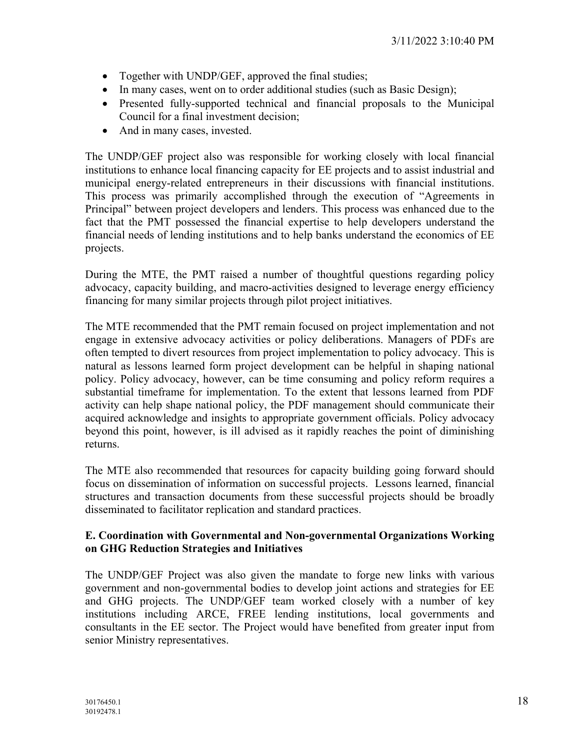- Together with UNDP/GEF, approved the final studies;
- In many cases, went on to order additional studies (such as Basic Design);
- Presented fully-supported technical and financial proposals to the Municipal Council for a final investment decision;
- And in many cases, invested.

The UNDP/GEF project also was responsible for working closely with local financial institutions to enhance local financing capacity for EE projects and to assist industrial and municipal energy-related entrepreneurs in their discussions with financial institutions. This process was primarily accomplished through the execution of "Agreements in Principal" between project developers and lenders. This process was enhanced due to the fact that the PMT possessed the financial expertise to help developers understand the financial needs of lending institutions and to help banks understand the economics of EE projects.

During the MTE, the PMT raised a number of thoughtful questions regarding policy advocacy, capacity building, and macro-activities designed to leverage energy efficiency financing for many similar projects through pilot project initiatives.

The MTE recommended that the PMT remain focused on project implementation and not engage in extensive advocacy activities or policy deliberations. Managers of PDFs are often tempted to divert resources from project implementation to policy advocacy. This is natural as lessons learned form project development can be helpful in shaping national policy. Policy advocacy, however, can be time consuming and policy reform requires a substantial timeframe for implementation. To the extent that lessons learned from PDF activity can help shape national policy, the PDF management should communicate their acquired acknowledge and insights to appropriate government officials. Policy advocacy beyond this point, however, is ill advised as it rapidly reaches the point of diminishing returns.

The MTE also recommended that resources for capacity building going forward should focus on dissemination of information on successful projects. Lessons learned, financial structures and transaction documents from these successful projects should be broadly disseminated to facilitator replication and standard practices.

# **E. Coordination with Governmental and Non-governmental Organizations Working on GHG Reduction Strategies and Initiatives**

The UNDP/GEF Project was also given the mandate to forge new links with various government and non-governmental bodies to develop joint actions and strategies for EE and GHG projects. The UNDP/GEF team worked closely with a number of key institutions including ARCE, FREE lending institutions, local governments and consultants in the EE sector. The Project would have benefited from greater input from senior Ministry representatives.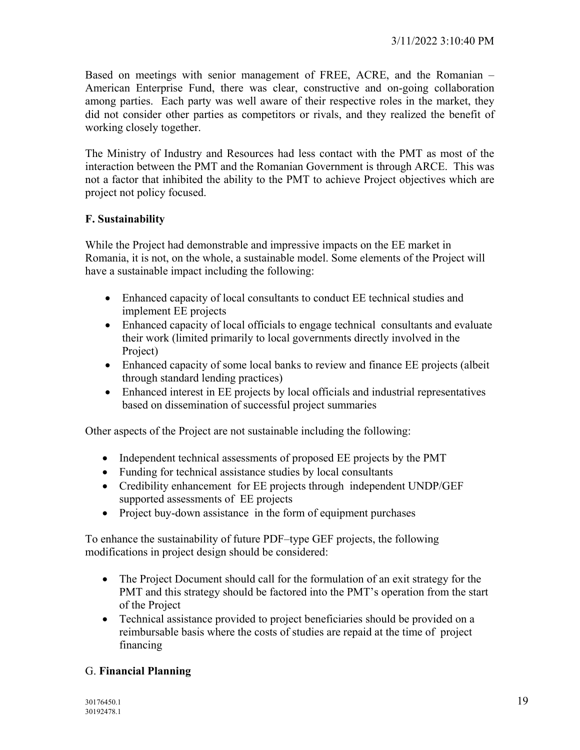Based on meetings with senior management of FREE, ACRE, and the Romanian – American Enterprise Fund, there was clear, constructive and on-going collaboration among parties. Each party was well aware of their respective roles in the market, they did not consider other parties as competitors or rivals, and they realized the benefit of working closely together.

The Ministry of Industry and Resources had less contact with the PMT as most of the interaction between the PMT and the Romanian Government is through ARCE. This was not a factor that inhibited the ability to the PMT to achieve Project objectives which are project not policy focused.

# **F. Sustainability**

While the Project had demonstrable and impressive impacts on the EE market in Romania, it is not, on the whole, a sustainable model. Some elements of the Project will have a sustainable impact including the following:

- Enhanced capacity of local consultants to conduct EE technical studies and implement EE projects
- Enhanced capacity of local officials to engage technical consultants and evaluate their work (limited primarily to local governments directly involved in the Project)
- Enhanced capacity of some local banks to review and finance EE projects (albeit through standard lending practices)
- Enhanced interest in EE projects by local officials and industrial representatives based on dissemination of successful project summaries

Other aspects of the Project are not sustainable including the following:

- Independent technical assessments of proposed EE projects by the PMT
- Funding for technical assistance studies by local consultants
- Credibility enhancement for EE projects through independent UNDP/GEF supported assessments of EE projects
- Project buy-down assistance in the form of equipment purchases

To enhance the sustainability of future PDF–type GEF projects, the following modifications in project design should be considered:

- The Project Document should call for the formulation of an exit strategy for the PMT and this strategy should be factored into the PMT's operation from the start of the Project
- Technical assistance provided to project beneficiaries should be provided on a reimbursable basis where the costs of studies are repaid at the time of project financing

# G. **Financial Planning**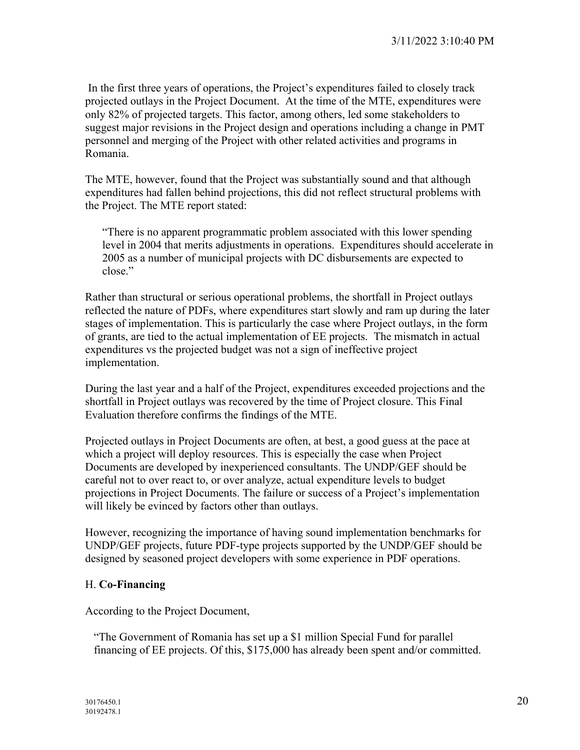In the first three years of operations, the Project's expenditures failed to closely track projected outlays in the Project Document. At the time of the MTE, expenditures were only 82% of projected targets. This factor, among others, led some stakeholders to suggest major revisions in the Project design and operations including a change in PMT personnel and merging of the Project with other related activities and programs in Romania.

The MTE, however, found that the Project was substantially sound and that although expenditures had fallen behind projections, this did not reflect structural problems with the Project. The MTE report stated:

"There is no apparent programmatic problem associated with this lower spending level in 2004 that merits adjustments in operations. Expenditures should accelerate in 2005 as a number of municipal projects with DC disbursements are expected to close."

Rather than structural or serious operational problems, the shortfall in Project outlays reflected the nature of PDFs, where expenditures start slowly and ram up during the later stages of implementation. This is particularly the case where Project outlays, in the form of grants, are tied to the actual implementation of EE projects. The mismatch in actual expenditures vs the projected budget was not a sign of ineffective project implementation.

During the last year and a half of the Project, expenditures exceeded projections and the shortfall in Project outlays was recovered by the time of Project closure. This Final Evaluation therefore confirms the findings of the MTE.

Projected outlays in Project Documents are often, at best, a good guess at the pace at which a project will deploy resources. This is especially the case when Project Documents are developed by inexperienced consultants. The UNDP/GEF should be careful not to over react to, or over analyze, actual expenditure levels to budget projections in Project Documents. The failure or success of a Project's implementation will likely be evinced by factors other than outlays.

However, recognizing the importance of having sound implementation benchmarks for UNDP/GEF projects, future PDF-type projects supported by the UNDP/GEF should be designed by seasoned project developers with some experience in PDF operations.

# H. **Co-Financing**

According to the Project Document,

"The Government of Romania has set up a \$1 million Special Fund for parallel financing of EE projects. Of this, \$175,000 has already been spent and/or committed.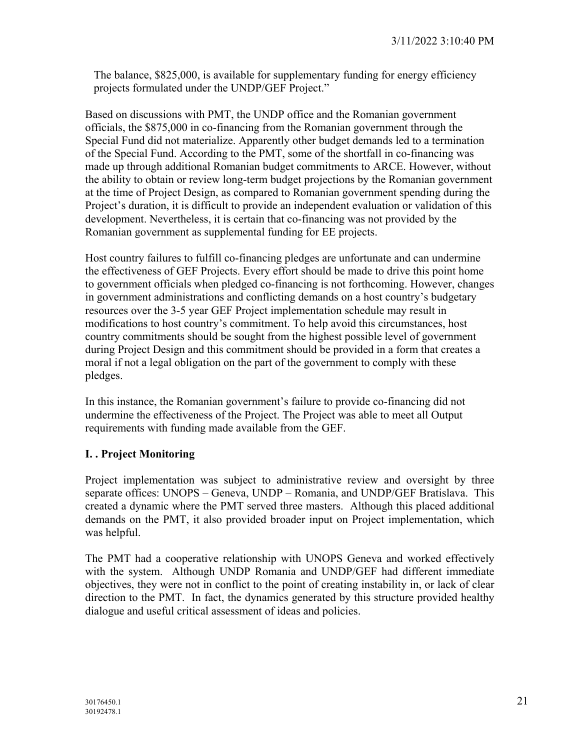The balance, \$825,000, is available for supplementary funding for energy efficiency projects formulated under the UNDP/GEF Project."

Based on discussions with PMT, the UNDP office and the Romanian government officials, the \$875,000 in co-financing from the Romanian government through the Special Fund did not materialize. Apparently other budget demands led to a termination of the Special Fund. According to the PMT, some of the shortfall in co-financing was made up through additional Romanian budget commitments to ARCE. However, without the ability to obtain or review long-term budget projections by the Romanian government at the time of Project Design, as compared to Romanian government spending during the Project's duration, it is difficult to provide an independent evaluation or validation of this development. Nevertheless, it is certain that co-financing was not provided by the Romanian government as supplemental funding for EE projects.

Host country failures to fulfill co-financing pledges are unfortunate and can undermine the effectiveness of GEF Projects. Every effort should be made to drive this point home to government officials when pledged co-financing is not forthcoming. However, changes in government administrations and conflicting demands on a host country's budgetary resources over the 3-5 year GEF Project implementation schedule may result in modifications to host country's commitment. To help avoid this circumstances, host country commitments should be sought from the highest possible level of government during Project Design and this commitment should be provided in a form that creates a moral if not a legal obligation on the part of the government to comply with these pledges.

In this instance, the Romanian government's failure to provide co-financing did not undermine the effectiveness of the Project. The Project was able to meet all Output requirements with funding made available from the GEF.

# **I. . Project Monitoring**

Project implementation was subject to administrative review and oversight by three separate offices: UNOPS – Geneva, UNDP – Romania, and UNDP/GEF Bratislava. This created a dynamic where the PMT served three masters. Although this placed additional demands on the PMT, it also provided broader input on Project implementation, which was helpful.

The PMT had a cooperative relationship with UNOPS Geneva and worked effectively with the system. Although UNDP Romania and UNDP/GEF had different immediate objectives, they were not in conflict to the point of creating instability in, or lack of clear direction to the PMT. In fact, the dynamics generated by this structure provided healthy dialogue and useful critical assessment of ideas and policies.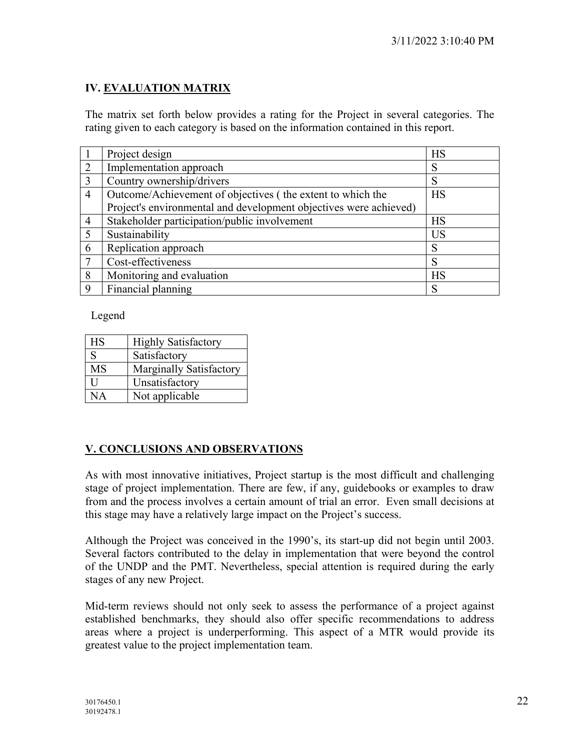# **IV. EVALUATION MATRIX**

The matrix set forth below provides a rating for the Project in several categories. The rating given to each category is based on the information contained in this report.

|                | Project design                                                    | <b>HS</b> |
|----------------|-------------------------------------------------------------------|-----------|
| 2              | Implementation approach                                           | S         |
| $\overline{3}$ | Country ownership/drivers                                         | S         |
| $\overline{4}$ | Outcome/Achievement of objectives (the extent to which the        | <b>HS</b> |
|                | Project's environmental and development objectives were achieved) |           |
| $\overline{4}$ | Stakeholder participation/public involvement                      | <b>HS</b> |
| 5              | Sustainability                                                    | <b>US</b> |
| 6              | Replication approach                                              | S         |
| $\overline{7}$ | Cost-effectiveness                                                | S         |
| 8              | Monitoring and evaluation                                         | <b>HS</b> |
| 9              | Financial planning                                                | S         |

Legend

| <b>HS</b> | <b>Highly Satisfactory</b> |
|-----------|----------------------------|
| S         | Satisfactory               |
| MS        | Marginally Satisfactory    |
| ĪΙ        | Unsatisfactory             |
| NA        | Not applicable             |

# **V. CONCLUSIONS AND OBSERVATIONS**

As with most innovative initiatives, Project startup is the most difficult and challenging stage of project implementation. There are few, if any, guidebooks or examples to draw from and the process involves a certain amount of trial an error. Even small decisions at this stage may have a relatively large impact on the Project's success.

Although the Project was conceived in the 1990's, its start-up did not begin until 2003. Several factors contributed to the delay in implementation that were beyond the control of the UNDP and the PMT. Nevertheless, special attention is required during the early stages of any new Project.

Mid-term reviews should not only seek to assess the performance of a project against established benchmarks, they should also offer specific recommendations to address areas where a project is underperforming. This aspect of a MTR would provide its greatest value to the project implementation team.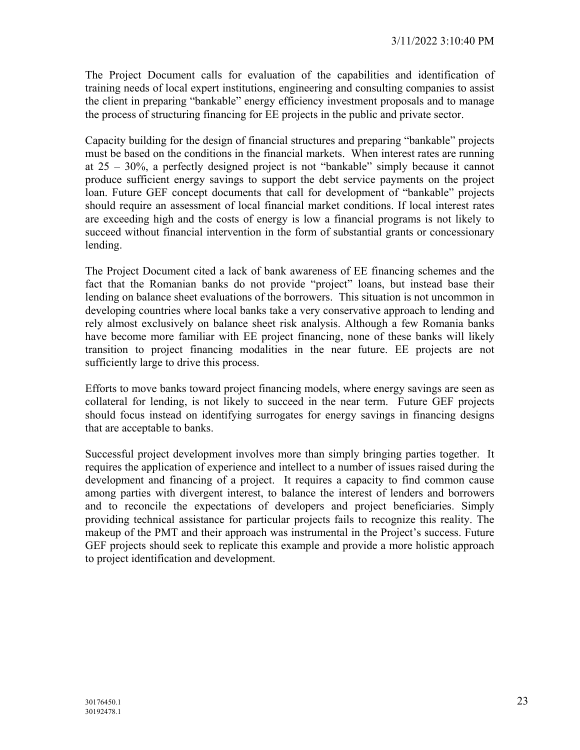The Project Document calls for evaluation of the capabilities and identification of training needs of local expert institutions, engineering and consulting companies to assist the client in preparing "bankable" energy efficiency investment proposals and to manage the process of structuring financing for EE projects in the public and private sector.

Capacity building for the design of financial structures and preparing "bankable" projects must be based on the conditions in the financial markets. When interest rates are running at 25 – 30%, a perfectly designed project is not "bankable" simply because it cannot produce sufficient energy savings to support the debt service payments on the project loan. Future GEF concept documents that call for development of "bankable" projects should require an assessment of local financial market conditions. If local interest rates are exceeding high and the costs of energy is low a financial programs is not likely to succeed without financial intervention in the form of substantial grants or concessionary lending.

The Project Document cited a lack of bank awareness of EE financing schemes and the fact that the Romanian banks do not provide "project" loans, but instead base their lending on balance sheet evaluations of the borrowers. This situation is not uncommon in developing countries where local banks take a very conservative approach to lending and rely almost exclusively on balance sheet risk analysis. Although a few Romania banks have become more familiar with EE project financing, none of these banks will likely transition to project financing modalities in the near future. EE projects are not sufficiently large to drive this process.

Efforts to move banks toward project financing models, where energy savings are seen as collateral for lending, is not likely to succeed in the near term. Future GEF projects should focus instead on identifying surrogates for energy savings in financing designs that are acceptable to banks.

 Successful project development involves more than simply bringing parties together. It requires the application of experience and intellect to a number of issues raised during the development and financing of a project. It requires a capacity to find common cause among parties with divergent interest, to balance the interest of lenders and borrowers and to reconcile the expectations of developers and project beneficiaries. Simply providing technical assistance for particular projects fails to recognize this reality. The makeup of the PMT and their approach was instrumental in the Project's success. Future GEF projects should seek to replicate this example and provide a more holistic approach to project identification and development.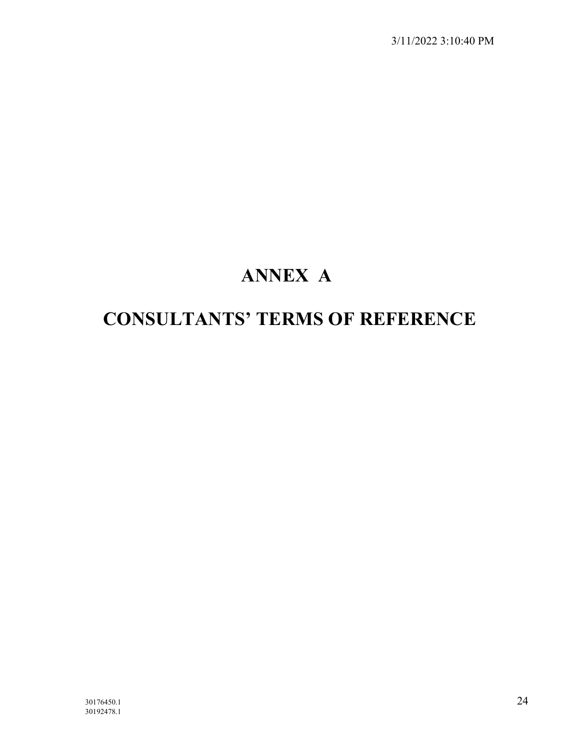# **ANNEX A**

# **CONSULTANTS' TERMS OF REFERENCE**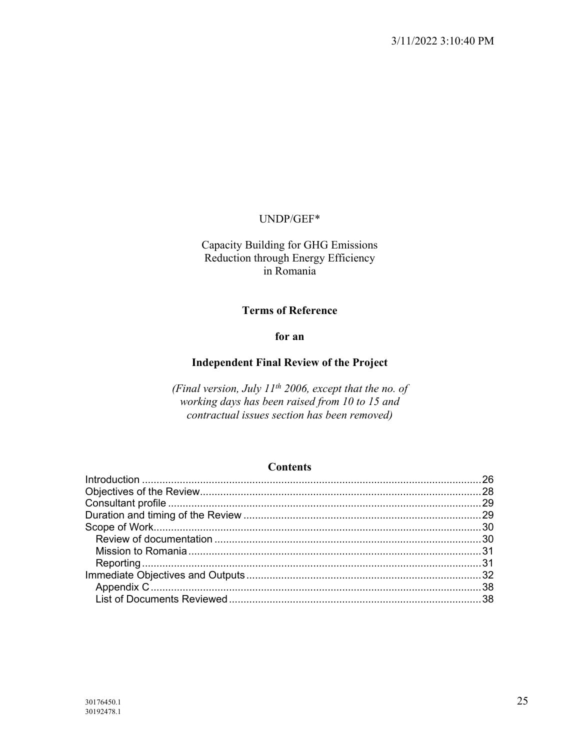#### UNDP/GEF\*

Capacity Building for GHG Emissions Reduction through Energy Efficiency in Romania

#### **Terms of Reference**

#### **for an**

#### **Independent Final Review of the Project**

*(Final version, July 11th 2006, except that the no. of working days has been raised from 10 to 15 and contractual issues section has been removed)*

#### **Contents**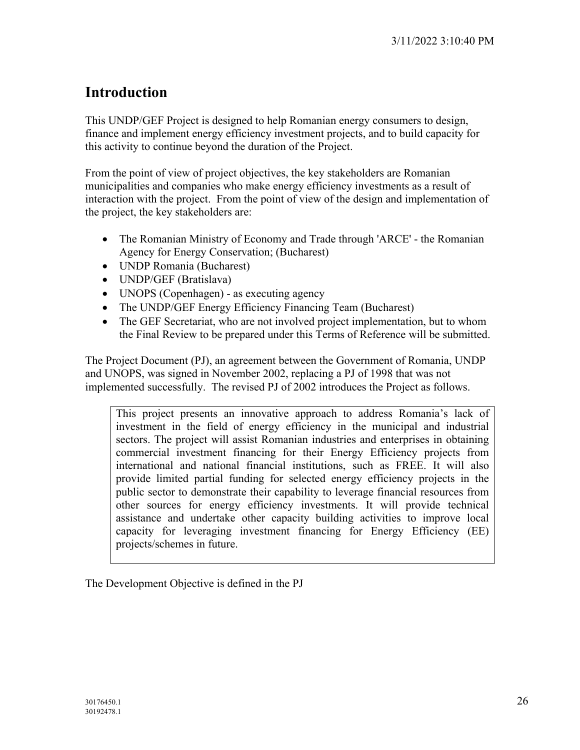# **Introduction**

This UNDP/GEF Project is designed to help Romanian energy consumers to design, finance and implement energy efficiency investment projects, and to build capacity for this activity to continue beyond the duration of the Project.

From the point of view of project objectives, the key stakeholders are Romanian municipalities and companies who make energy efficiency investments as a result of interaction with the project. From the point of view of the design and implementation of the project, the key stakeholders are:

- The Romanian Ministry of Economy and Trade through 'ARCE' the Romanian Agency for Energy Conservation; (Bucharest)
- UNDP Romania (Bucharest)
- UNDP/GEF (Bratislava)
- UNOPS (Copenhagen) as executing agency
- The UNDP/GEF Energy Efficiency Financing Team (Bucharest)
- The GEF Secretariat, who are not involved project implementation, but to whom the Final Review to be prepared under this Terms of Reference will be submitted.

The Project Document (PJ), an agreement between the Government of Romania, UNDP and UNOPS, was signed in November 2002, replacing a PJ of 1998 that was not implemented successfully. The revised PJ of 2002 introduces the Project as follows.

This project presents an innovative approach to address Romania's lack of investment in the field of energy efficiency in the municipal and industrial sectors. The project will assist Romanian industries and enterprises in obtaining commercial investment financing for their Energy Efficiency projects from international and national financial institutions, such as FREE. It will also provide limited partial funding for selected energy efficiency projects in the public sector to demonstrate their capability to leverage financial resources from other sources for energy efficiency investments. It will provide technical assistance and undertake other capacity building activities to improve local capacity for leveraging investment financing for Energy Efficiency (EE) projects/schemes in future.

The Development Objective is defined in the PJ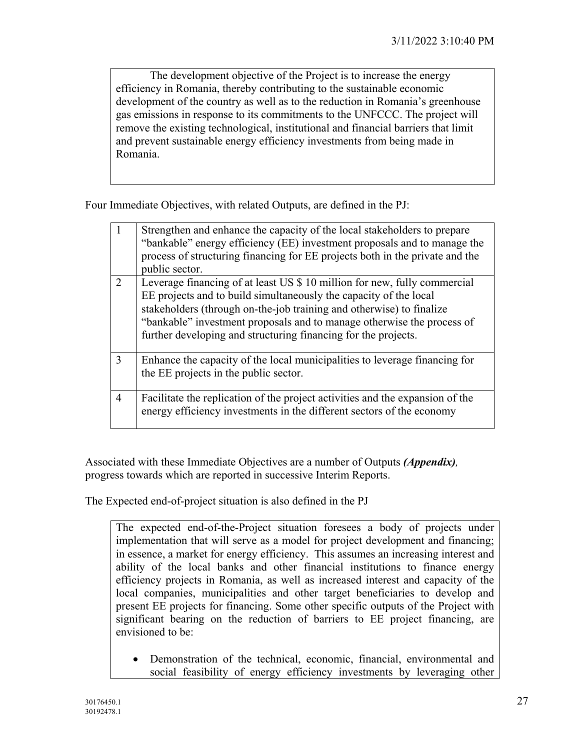The development objective of the Project is to increase the energy efficiency in Romania, thereby contributing to the sustainable economic development of the country as well as to the reduction in Romania's greenhouse gas emissions in response to its commitments to the UNFCCC. The project will remove the existing technological, institutional and financial barriers that limit and prevent sustainable energy efficiency investments from being made in Romania.

Four Immediate Objectives, with related Outputs, are defined in the PJ:

|                | Strengthen and enhance the capacity of the local stakeholders to prepare<br>"bankable" energy efficiency (EE) investment proposals and to manage the<br>process of structuring financing for EE projects both in the private and the<br>public sector.                                                                                                             |
|----------------|--------------------------------------------------------------------------------------------------------------------------------------------------------------------------------------------------------------------------------------------------------------------------------------------------------------------------------------------------------------------|
| $\overline{2}$ | Leverage financing of at least US \$ 10 million for new, fully commercial<br>EE projects and to build simultaneously the capacity of the local<br>stakeholders (through on-the-job training and otherwise) to finalize<br>"bankable" investment proposals and to manage otherwise the process of<br>further developing and structuring financing for the projects. |
| 3              | Enhance the capacity of the local municipalities to leverage financing for<br>the EE projects in the public sector.                                                                                                                                                                                                                                                |
| $\overline{4}$ | Facilitate the replication of the project activities and the expansion of the<br>energy efficiency investments in the different sectors of the economy                                                                                                                                                                                                             |

Associated with these Immediate Objectives are a number of Outputs *(Appendix),*  progress towards which are reported in successive Interim Reports.

The Expected end-of-project situation is also defined in the PJ

The expected end-of-the-Project situation foresees a body of projects under implementation that will serve as a model for project development and financing; in essence, a market for energy efficiency. This assumes an increasing interest and ability of the local banks and other financial institutions to finance energy efficiency projects in Romania, as well as increased interest and capacity of the local companies, municipalities and other target beneficiaries to develop and present EE projects for financing. Some other specific outputs of the Project with significant bearing on the reduction of barriers to EE project financing, are envisioned to be:

• Demonstration of the technical, economic, financial, environmental and social feasibility of energy efficiency investments by leveraging other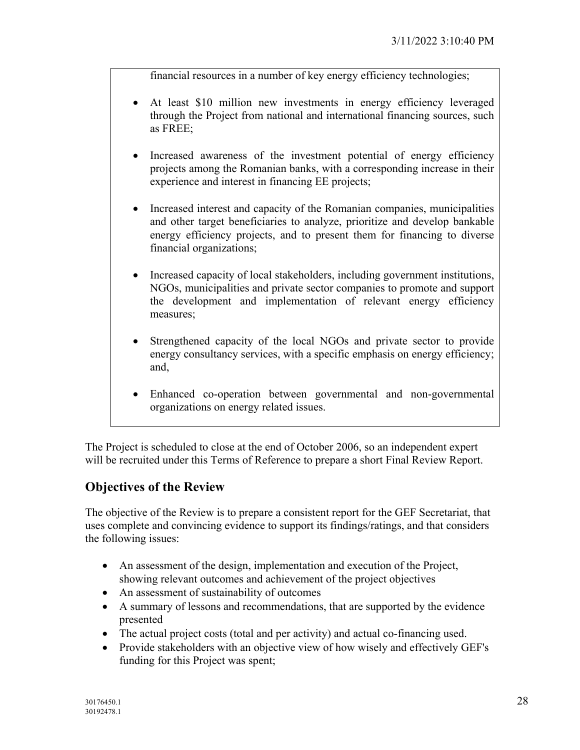financial resources in a number of key energy efficiency technologies;

- At least \$10 million new investments in energy efficiency leveraged through the Project from national and international financing sources, such as FREE;
- Increased awareness of the investment potential of energy efficiency projects among the Romanian banks, with a corresponding increase in their experience and interest in financing EE projects;
- Increased interest and capacity of the Romanian companies, municipalities and other target beneficiaries to analyze, prioritize and develop bankable energy efficiency projects, and to present them for financing to diverse financial organizations;
- Increased capacity of local stakeholders, including government institutions, NGOs, municipalities and private sector companies to promote and support the development and implementation of relevant energy efficiency measures;
- Strengthened capacity of the local NGOs and private sector to provide energy consultancy services, with a specific emphasis on energy efficiency; and,
- Enhanced co-operation between governmental and non-governmental organizations on energy related issues.

The Project is scheduled to close at the end of October 2006, so an independent expert will be recruited under this Terms of Reference to prepare a short Final Review Report.

# **Objectives of the Review**

The objective of the Review is to prepare a consistent report for the GEF Secretariat, that uses complete and convincing evidence to support its findings/ratings, and that considers the following issues:

- An assessment of the design, implementation and execution of the Project, showing relevant outcomes and achievement of the project objectives
- An assessment of sustainability of outcomes
- A summary of lessons and recommendations, that are supported by the evidence presented
- The actual project costs (total and per activity) and actual co-financing used.
- Provide stakeholders with an objective view of how wisely and effectively GEF's funding for this Project was spent;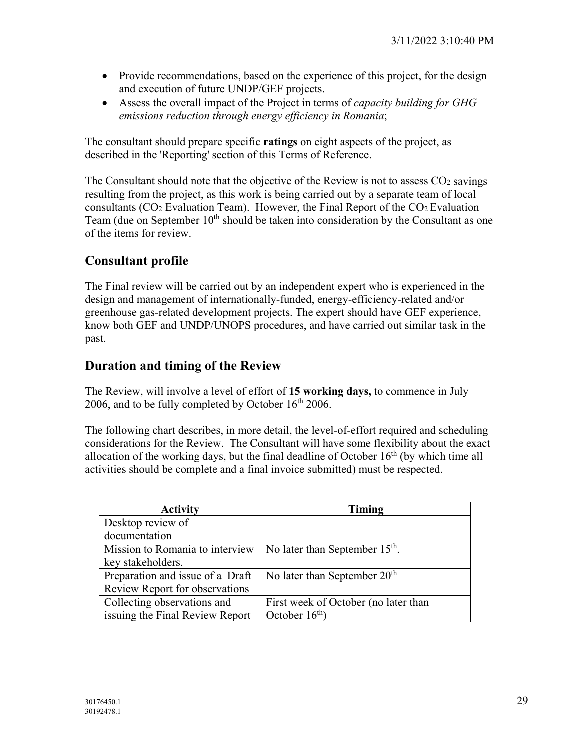- Provide recommendations, based on the experience of this project, for the design and execution of future UNDP/GEF projects.
- Assess the overall impact of the Project in terms of *capacity building for GHG emissions reduction through energy efficiency in Romania*;

The consultant should prepare specific **ratings** on eight aspects of the project, as described in the 'Reporting' section of this Terms of Reference.

The Consultant should note that the objective of the Review is not to assess  $CO<sub>2</sub>$  savings resulting from the project, as this work is being carried out by a separate team of local consultants ( $CO<sub>2</sub>$  Evaluation Team). However, the Final Report of the  $CO<sub>2</sub>$  Evaluation Team (due on September  $10<sup>th</sup>$  should be taken into consideration by the Consultant as one of the items for review.

# **Consultant profile**

The Final review will be carried out by an independent expert who is experienced in the design and management of internationally-funded, energy-efficiency-related and/or greenhouse gas-related development projects. The expert should have GEF experience, know both GEF and UNDP/UNOPS procedures, and have carried out similar task in the past.

# **Duration and timing of the Review**

The Review, will involve a level of effort of **15 working days,** to commence in July 2006, and to be fully completed by October  $16<sup>th</sup>$  2006.

The following chart describes, in more detail, the level-of-effort required and scheduling considerations for the Review. The Consultant will have some flexibility about the exact allocation of the working days, but the final deadline of October  $16<sup>th</sup>$  (by which time all activities should be complete and a final invoice submitted) must be respected.

| <b>Activity</b>                  | Timing                               |
|----------------------------------|--------------------------------------|
| Desktop review of                |                                      |
| documentation                    |                                      |
| Mission to Romania to interview  | No later than September $15th$ .     |
| key stakeholders.                |                                      |
| Preparation and issue of a Draft | No later than September $20th$       |
| Review Report for observations   |                                      |
| Collecting observations and      | First week of October (no later than |
| issuing the Final Review Report  | October $16th$ )                     |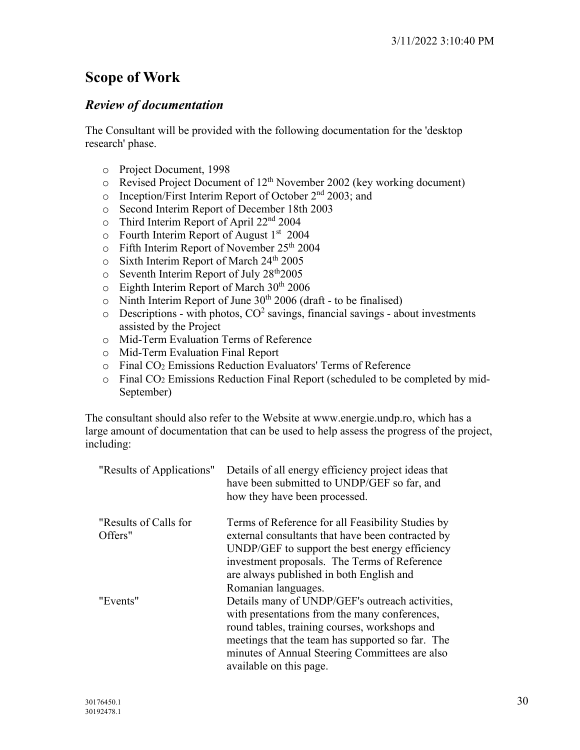# **Scope of Work**

# *Review of documentation*

The Consultant will be provided with the following documentation for the 'desktop research' phase.

- o Project Document, 1998
- $\circ$  Revised Project Document of 12<sup>th</sup> November 2002 (key working document)
- o Inception/First Interim Report of October 2nd 2003; and
- o Second Interim Report of December 18th 2003
- $\circ$  Third Interim Report of April 22<sup>nd</sup> 2004
- $\circ$  Fourth Interim Report of August 1<sup>st</sup> 2004
- o Fifth Interim Report of November 25th 2004
- $\circ$  Sixth Interim Report of March 24<sup>th</sup> 2005
- $\circ$  Seventh Interim Report of July 28<sup>th</sup>2005
- $\circ$  Eighth Interim Report of March 30<sup>th</sup> 2006
- $\circ$  Ninth Interim Report of June 30<sup>th</sup> 2006 (draft to be finalised)
- $\circ$  Descriptions with photos,  $CO^2$  savings, financial savings about investments assisted by the Project
- o Mid-Term Evaluation Terms of Reference
- o Mid-Term Evaluation Final Report
- o Final CO2 Emissions Reduction Evaluators' Terms of Reference
- o Final CO2 Emissions Reduction Final Report (scheduled to be completed by mid-September)

The consultant should also refer to the Website at www.energie.undp.ro, which has a large amount of documentation that can be used to help assess the progress of the project, including:

| "Results of Applications"        | Details of all energy efficiency project ideas that<br>have been submitted to UNDP/GEF so far, and<br>how they have been processed.                                                                                                                                                |
|----------------------------------|------------------------------------------------------------------------------------------------------------------------------------------------------------------------------------------------------------------------------------------------------------------------------------|
| "Results of Calls for<br>Offers" | Terms of Reference for all Feasibility Studies by<br>external consultants that have been contracted by<br>UNDP/GEF to support the best energy efficiency<br>investment proposals. The Terms of Reference<br>are always published in both English and<br>Romanian languages.        |
| "Events"                         | Details many of UNDP/GEF's outreach activities,<br>with presentations from the many conferences,<br>round tables, training courses, workshops and<br>meetings that the team has supported so far. The<br>minutes of Annual Steering Committees are also<br>available on this page. |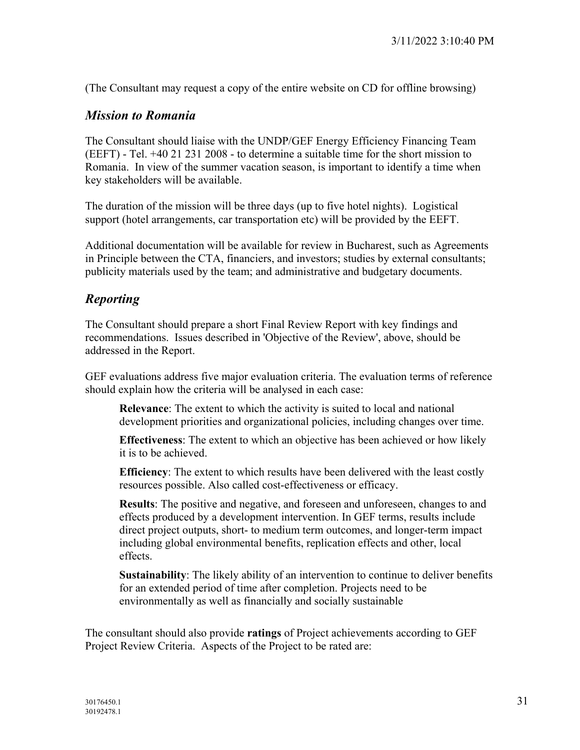(The Consultant may request a copy of the entire website on CD for offline browsing)

# *Mission to Romania*

The Consultant should liaise with the UNDP/GEF Energy Efficiency Financing Team (EEFT) - Tel. +40 21 231 2008 - to determine a suitable time for the short mission to Romania. In view of the summer vacation season, is important to identify a time when key stakeholders will be available.

The duration of the mission will be three days (up to five hotel nights). Logistical support (hotel arrangements, car transportation etc) will be provided by the EEFT.

Additional documentation will be available for review in Bucharest, such as Agreements in Principle between the CTA, financiers, and investors; studies by external consultants; publicity materials used by the team; and administrative and budgetary documents.

# *Reporting*

The Consultant should prepare a short Final Review Report with key findings and recommendations. Issues described in 'Objective of the Review', above, should be addressed in the Report.

GEF evaluations address five major evaluation criteria. The evaluation terms of reference should explain how the criteria will be analysed in each case:

**Relevance**: The extent to which the activity is suited to local and national development priorities and organizational policies, including changes over time.

**Effectiveness**: The extent to which an objective has been achieved or how likely it is to be achieved.

**Efficiency**: The extent to which results have been delivered with the least costly resources possible. Also called cost-effectiveness or efficacy.

**Results**: The positive and negative, and foreseen and unforeseen, changes to and effects produced by a development intervention. In GEF terms, results include direct project outputs, short- to medium term outcomes, and longer-term impact including global environmental benefits, replication effects and other, local effects.

**Sustainability**: The likely ability of an intervention to continue to deliver benefits for an extended period of time after completion. Projects need to be environmentally as well as financially and socially sustainable

The consultant should also provide **ratings** of Project achievements according to GEF Project Review Criteria. Aspects of the Project to be rated are: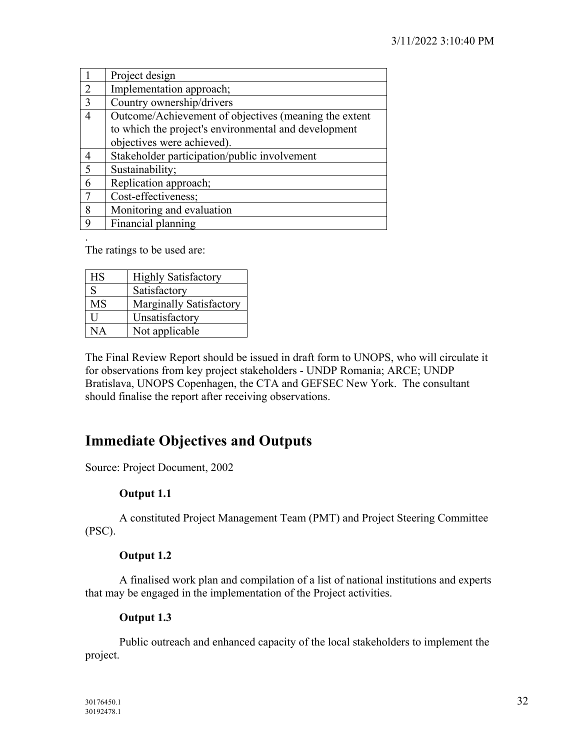|                | Project design                                        |
|----------------|-------------------------------------------------------|
| 2              | Implementation approach;                              |
| 3              | Country ownership/drivers                             |
| 4              | Outcome/Achievement of objectives (meaning the extent |
|                | to which the project's environmental and development  |
|                | objectives were achieved).                            |
| $\overline{4}$ | Stakeholder participation/public involvement          |
| -5             | Sustainability;                                       |
| 6              | Replication approach;                                 |
|                | Cost-effectiveness;                                   |
| 8              | Monitoring and evaluation                             |
| 9              | Financial planning                                    |

. The ratings to be used are:

| <b>HS</b> | <b>Highly Satisfactory</b> |
|-----------|----------------------------|
| S         | Satisfactory               |
| <b>MS</b> | Marginally Satisfactory    |
| ĪΤ        | Unsatisfactory             |
| NА        | Not applicable             |

The Final Review Report should be issued in draft form to UNOPS, who will circulate it for observations from key project stakeholders - UNDP Romania; ARCE; UNDP Bratislava, UNOPS Copenhagen, the CTA and GEFSEC New York. The consultant should finalise the report after receiving observations.

# **Immediate Objectives and Outputs**

Source: Project Document, 2002

# **Output 1.1**

A constituted Project Management Team (PMT) and Project Steering Committee (PSC).

# **Output 1.2**

A finalised work plan and compilation of a list of national institutions and experts that may be engaged in the implementation of the Project activities.

# **Output 1.3**

 Public outreach and enhanced capacity of the local stakeholders to implement the project.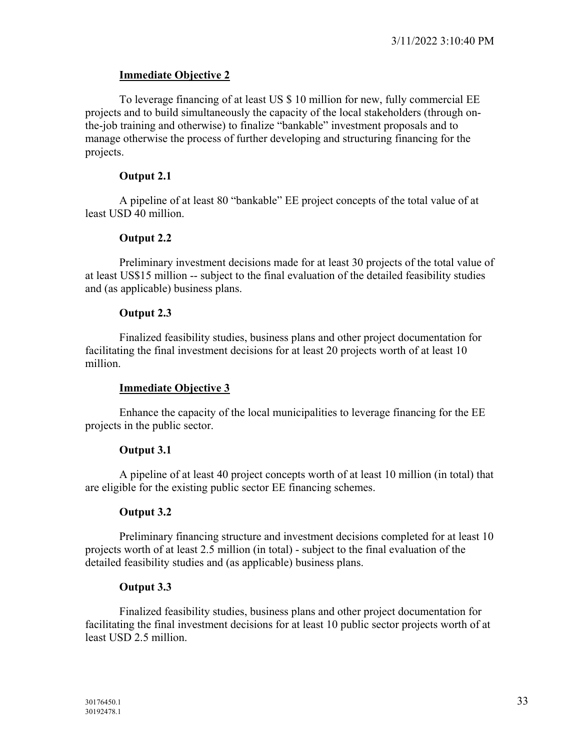# **Immediate Objective 2**

To leverage financing of at least US \$ 10 million for new, fully commercial EE projects and to build simultaneously the capacity of the local stakeholders (through onthe-job training and otherwise) to finalize "bankable" investment proposals and to manage otherwise the process of further developing and structuring financing for the projects.

# **Output 2.1**

A pipeline of at least 80 "bankable" EE project concepts of the total value of at least USD 40 million.

# **Output 2.2**

Preliminary investment decisions made for at least 30 projects of the total value of at least US\$15 million -- subject to the final evaluation of the detailed feasibility studies and (as applicable) business plans.

# **Output 2.3**

Finalized feasibility studies, business plans and other project documentation for facilitating the final investment decisions for at least 20 projects worth of at least 10 million.

# **Immediate Objective 3**

Enhance the capacity of the local municipalities to leverage financing for the EE projects in the public sector.

# **Output 3.1**

A pipeline of at least 40 project concepts worth of at least 10 million (in total) that are eligible for the existing public sector EE financing schemes.

# **Output 3.2**

Preliminary financing structure and investment decisions completed for at least 10 projects worth of at least 2.5 million (in total) - subject to the final evaluation of the detailed feasibility studies and (as applicable) business plans.

# **Output 3.3**

Finalized feasibility studies, business plans and other project documentation for facilitating the final investment decisions for at least 10 public sector projects worth of at least USD 2.5 million.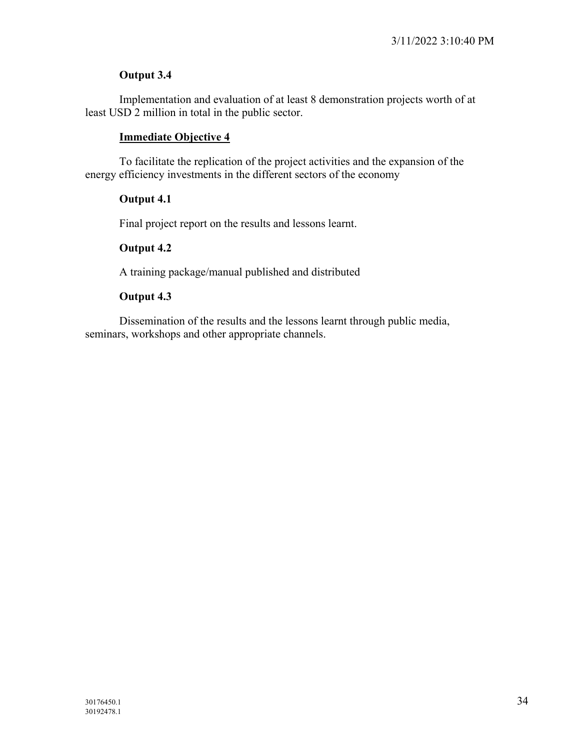# **Output 3.4**

Implementation and evaluation of at least 8 demonstration projects worth of at least USD 2 million in total in the public sector.

# **Immediate Objective 4**

To facilitate the replication of the project activities and the expansion of the energy efficiency investments in the different sectors of the economy

# **Output 4.1**

Final project report on the results and lessons learnt.

# **Output 4.2**

A training package/manual published and distributed

# **Output 4.3**

Dissemination of the results and the lessons learnt through public media, seminars, workshops and other appropriate channels.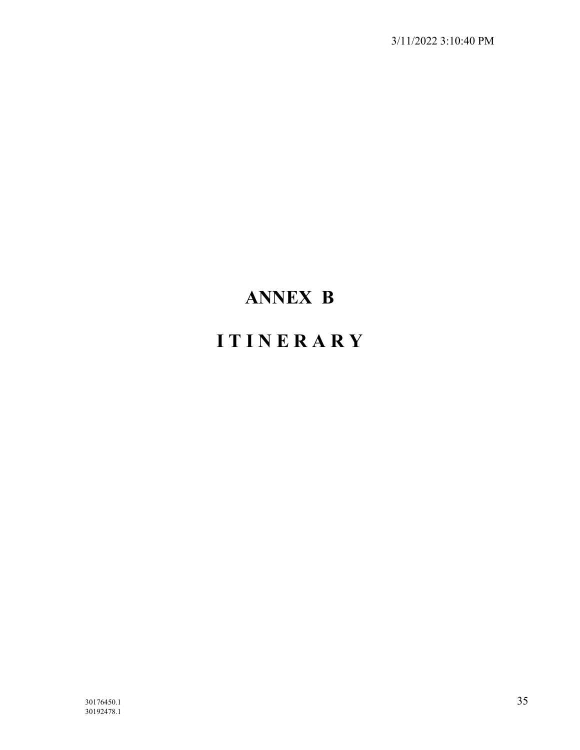# **ANNEX B**

# **I T I N E R A R Y**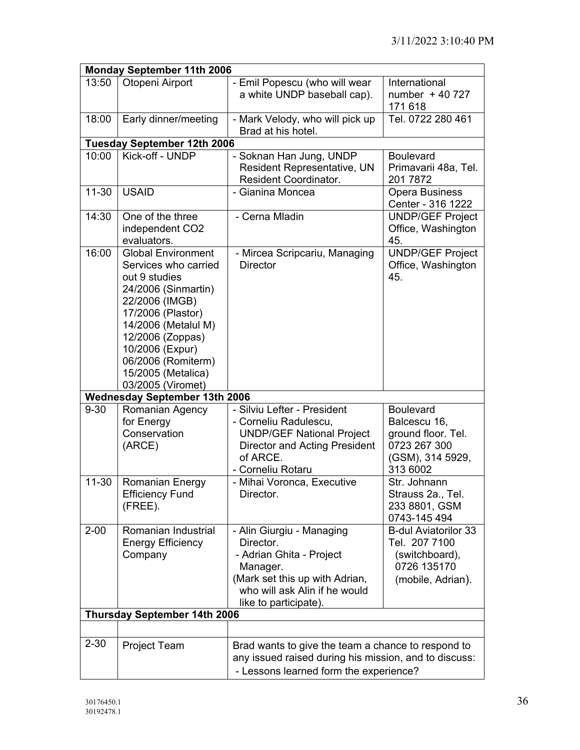|           | <b>Monday September 11th 2006</b>                                                                                                                                                                                                                               |                                                                                                                                                                            |                                                                                                        |  |
|-----------|-----------------------------------------------------------------------------------------------------------------------------------------------------------------------------------------------------------------------------------------------------------------|----------------------------------------------------------------------------------------------------------------------------------------------------------------------------|--------------------------------------------------------------------------------------------------------|--|
| 13:50     | Otopeni Airport                                                                                                                                                                                                                                                 | - Emil Popescu (who will wear<br>a white UNDP baseball cap).                                                                                                               | International<br>number $+40727$<br>171 618                                                            |  |
| 18:00     | Early dinner/meeting                                                                                                                                                                                                                                            | - Mark Velody, who will pick up<br>Brad at his hotel.                                                                                                                      | Tel. 0722 280 461                                                                                      |  |
|           | <b>Tuesday September 12th 2006</b>                                                                                                                                                                                                                              |                                                                                                                                                                            |                                                                                                        |  |
| 10:00     | Kick-off - UNDP                                                                                                                                                                                                                                                 | - Soknan Han Jung, UNDP<br>Resident Representative, UN<br><b>Resident Coordinator.</b>                                                                                     | <b>Boulevard</b><br>Primavarii 48a, Tel.<br>201 7872                                                   |  |
| $11 - 30$ | <b>USAID</b>                                                                                                                                                                                                                                                    | - Gianina Moncea                                                                                                                                                           | Opera Business<br>Center - 316 1222                                                                    |  |
| 14:30     | One of the three<br>independent CO2<br>evaluators.                                                                                                                                                                                                              | - Cerna Mladin                                                                                                                                                             | <b>UNDP/GEF Project</b><br>Office, Washington<br>45.                                                   |  |
| 16:00     | <b>Global Environment</b><br>Services who carried<br>out 9 studies<br>24/2006 (Sinmartin)<br>22/2006 (IMGB)<br>17/2006 (Plastor)<br>14/2006 (Metalul M)<br>12/2006 (Zoppas)<br>10/2006 (Expur)<br>06/2006 (Romiterm)<br>15/2005 (Metalica)<br>03/2005 (Viromet) | - Mircea Scripcariu, Managing<br><b>Director</b>                                                                                                                           | <b>UNDP/GEF Project</b><br>Office, Washington<br>45.                                                   |  |
|           | <b>Wednesday September 13th 2006</b>                                                                                                                                                                                                                            |                                                                                                                                                                            |                                                                                                        |  |
| $9 - 30$  | Romanian Agency<br>for Energy<br>Conservation<br>(ARCE)                                                                                                                                                                                                         | - Silviu Lefter - President<br>- Corneliu Radulescu,<br><b>UNDP/GEF National Project</b><br><b>Director and Acting President</b><br>of ARCE.<br>- Corneliu Rotaru          | <b>Boulevard</b><br>Balcescu 16,<br>ground floor. Tel.<br>0723 267 300<br>(GSM), 314 5929,<br>313 6002 |  |
| $11 - 30$ | <b>Romanian Energy</b><br><b>Efficiency Fund</b><br>(FREE).                                                                                                                                                                                                     | - Mihai Voronca, Executive<br>Director.                                                                                                                                    | Str. Johnann<br>Strauss 2a., Tel.<br>233 8801, GSM<br>0743-145 494                                     |  |
| $2 - 00$  | Romanian Industrial<br><b>Energy Efficiency</b><br>Company                                                                                                                                                                                                      | - Alin Giurgiu - Managing<br>Director.<br>- Adrian Ghita - Project<br>Manager.<br>(Mark set this up with Adrian,<br>who will ask Alin if he would<br>like to participate). | <b>B-dul Aviatorilor 33</b><br>Tel. 207 7100<br>(switchboard),<br>0726 135170<br>(mobile, Adrian).     |  |
|           | <b>Thursday September 14th 2006</b>                                                                                                                                                                                                                             |                                                                                                                                                                            |                                                                                                        |  |
|           |                                                                                                                                                                                                                                                                 |                                                                                                                                                                            |                                                                                                        |  |
| $2 - 30$  | <b>Project Team</b>                                                                                                                                                                                                                                             | Brad wants to give the team a chance to respond to<br>any issued raised during his mission, and to discuss:<br>- Lessons learned form the experience?                      |                                                                                                        |  |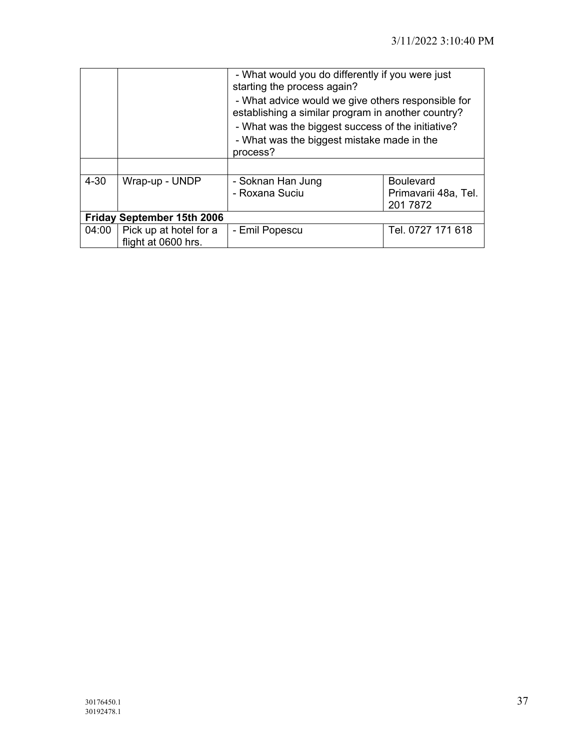|                                   |                                               | - What would you do differently if you were just<br>starting the process again?<br>- What advice would we give others responsible for<br>establishing a similar program in another country?<br>- What was the biggest success of the initiative?<br>- What was the biggest mistake made in the<br>process? |                                                      |
|-----------------------------------|-----------------------------------------------|------------------------------------------------------------------------------------------------------------------------------------------------------------------------------------------------------------------------------------------------------------------------------------------------------------|------------------------------------------------------|
| $4 - 30$                          | Wrap-up - UNDP                                | - Soknan Han Jung<br>- Roxana Suciu                                                                                                                                                                                                                                                                        | <b>Boulevard</b><br>Primavarii 48a, Tel.<br>201 7872 |
| <b>Friday September 15th 2006</b> |                                               |                                                                                                                                                                                                                                                                                                            |                                                      |
| 04:00                             | Pick up at hotel for a<br>flight at 0600 hrs. | - Emil Popescu                                                                                                                                                                                                                                                                                             | Tel. 0727 171 618                                    |